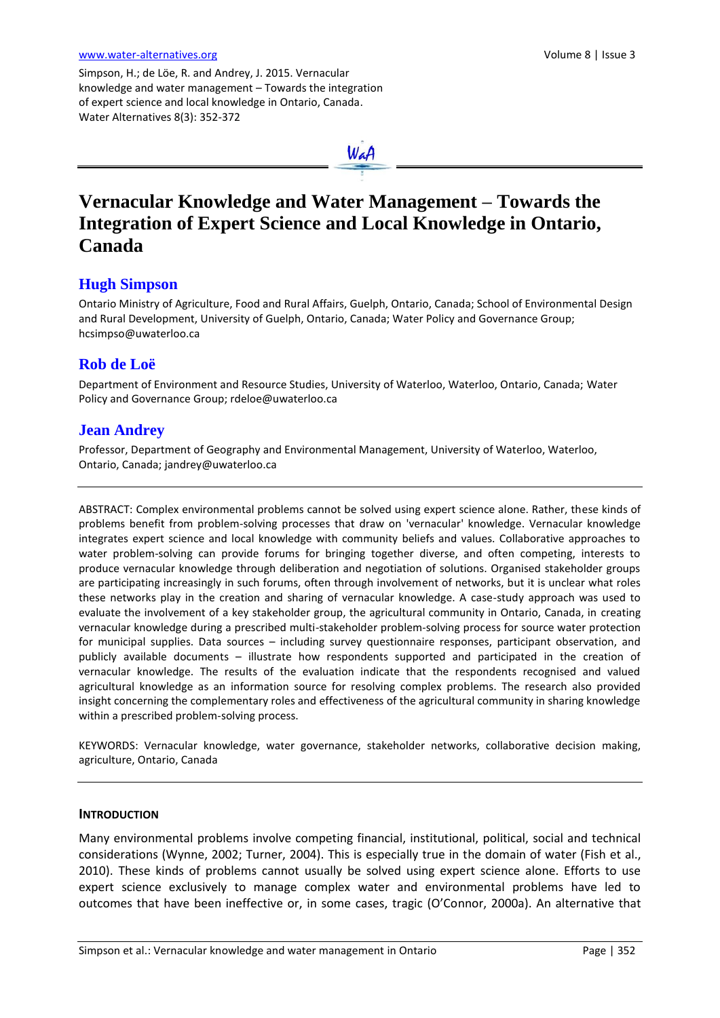Simpson, H.; de Löe, R. and Andrey, J. 2015. Vernacular knowledge and water management – Towards the integration of expert science and local knowledge in Ontario, Canada. Water Alternatives 8(3): 352-372



# **Vernacular Knowledge and Water Management – Towards the Integration of Expert Science and Local Knowledge in Ontario, Canada**

# **Hugh Simpson**

Ontario Ministry of Agriculture, Food and Rural Affairs, Guelph, Ontario, Canada; School of Environmental Design and Rural Development, University of Guelph, Ontario, Canada; Water Policy and Governance Group; [hcsimpso@uwaterloo.ca](mailto:hcsimpso@uwaterloo.ca)

# **Rob de Loë**

Department of Environment and Resource Studies, University of Waterloo, Waterloo, Ontario, Canada; Water Policy and Governance Group[; rdeloe@uwaterloo.ca](mailto:rdeloe@uwaterloo.ca)

# **Jean Andrey**

Professor, Department of Geography and Environmental Management, University of Waterloo, Waterloo, Ontario, Canada; [jandrey@uwaterloo.ca](mailto:jandrey@uwaterloo.ca)

ABSTRACT: Complex environmental problems cannot be solved using expert science alone. Rather, these kinds of problems benefit from problem-solving processes that draw on 'vernacular' knowledge. Vernacular knowledge integrates expert science and local knowledge with community beliefs and values. Collaborative approaches to water problem-solving can provide forums for bringing together diverse, and often competing, interests to produce vernacular knowledge through deliberation and negotiation of solutions. Organised stakeholder groups are participating increasingly in such forums, often through involvement of networks, but it is unclear what roles these networks play in the creation and sharing of vernacular knowledge. A case-study approach was used to evaluate the involvement of a key stakeholder group, the agricultural community in Ontario, Canada, in creating vernacular knowledge during a prescribed multi-stakeholder problem-solving process for source water protection for municipal supplies. Data sources – including survey questionnaire responses, participant observation, and publicly available documents – illustrate how respondents supported and participated in the creation of vernacular knowledge. The results of the evaluation indicate that the respondents recognised and valued agricultural knowledge as an information source for resolving complex problems. The research also provided insight concerning the complementary roles and effectiveness of the agricultural community in sharing knowledge within a prescribed problem-solving process.

KEYWORDS: Vernacular knowledge, water governance, stakeholder networks, collaborative decision making, agriculture, Ontario, Canada

# **INTRODUCTION**

Many environmental problems involve competing financial, institutional, political, social and technical considerations (Wynne, 2002; Turner, 2004). This is especially true in the domain of water (Fish et al., 2010). These kinds of problems cannot usually be solved using expert science alone. Efforts to use expert science exclusively to manage complex water and environmental problems have led to outcomes that have been ineffective or, in some cases, tragic (O'Connor, 2000a). An alternative that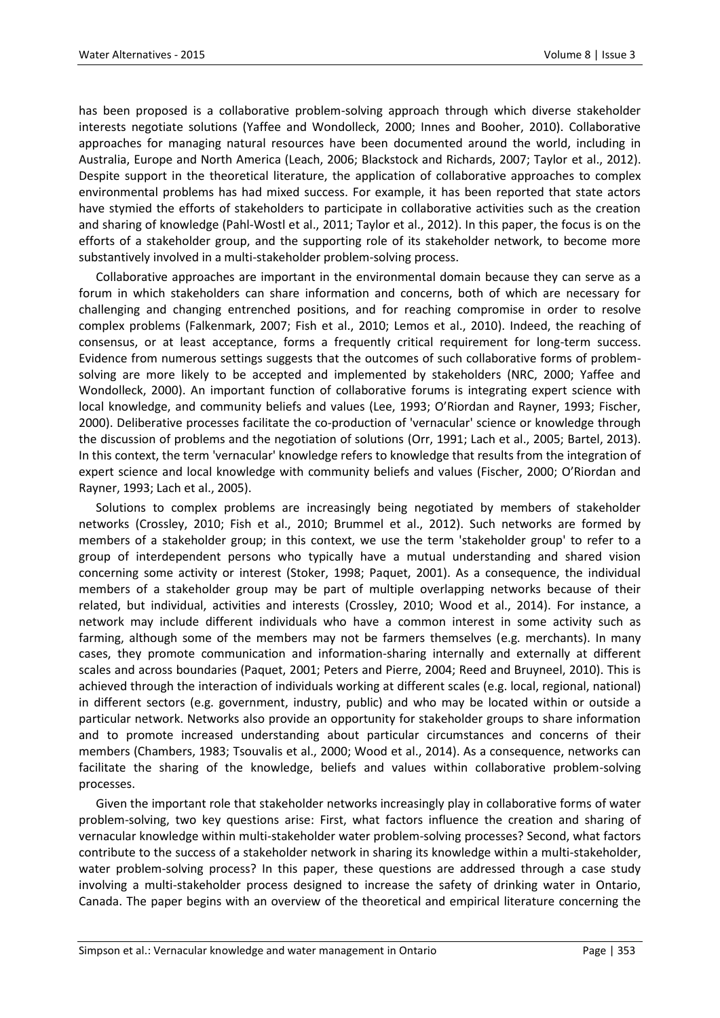has been proposed is a collaborative problem-solving approach through which diverse stakeholder interests negotiate solutions (Yaffee and Wondolleck, 2000; Innes and Booher, 2010). Collaborative approaches for managing natural resources have been documented around the world, including in Australia, Europe and North America (Leach, 2006; Blackstock and Richards, 2007; Taylor et al., 2012). Despite support in the theoretical literature, the application of collaborative approaches to complex environmental problems has had mixed success. For example, it has been reported that state actors have stymied the efforts of stakeholders to participate in collaborative activities such as the creation and sharing of knowledge (Pahl-Wostl et al., 2011; Taylor et al., 2012). In this paper, the focus is on the efforts of a stakeholder group, and the supporting role of its stakeholder network, to become more substantively involved in a multi-stakeholder problem-solving process.

Collaborative approaches are important in the environmental domain because they can serve as a forum in which stakeholders can share information and concerns, both of which are necessary for challenging and changing entrenched positions, and for reaching compromise in order to resolve complex problems (Falkenmark, 2007; Fish et al., 2010; Lemos et al., 2010). Indeed, the reaching of consensus, or at least acceptance, forms a frequently critical requirement for long-term success. Evidence from numerous settings suggests that the outcomes of such collaborative forms of problemsolving are more likely to be accepted and implemented by stakeholders (NRC, 2000; Yaffee and Wondolleck, 2000). An important function of collaborative forums is integrating expert science with local knowledge, and community beliefs and values (Lee, 1993; O'Riordan and Rayner, 1993; Fischer, 2000). Deliberative processes facilitate the co-production of 'vernacular' science or knowledge through the discussion of problems and the negotiation of solutions (Orr, 1991; Lach et al., 2005; Bartel, 2013). In this context, the term 'vernacular' knowledge refers to knowledge that results from the integration of expert science and local knowledge with community beliefs and values (Fischer, 2000; O'Riordan and Rayner, 1993; Lach et al., 2005).

Solutions to complex problems are increasingly being negotiated by members of stakeholder networks (Crossley, 2010; Fish et al., 2010; Brummel et al., 2012). Such networks are formed by members of a stakeholder group; in this context, we use the term 'stakeholder group' to refer to a group of interdependent persons who typically have a mutual understanding and shared vision concerning some activity or interest (Stoker, 1998; Paquet, 2001). As a consequence, the individual members of a stakeholder group may be part of multiple overlapping networks because of their related, but individual, activities and interests (Crossley, 2010; Wood et al., 2014). For instance, a network may include different individuals who have a common interest in some activity such as farming, although some of the members may not be farmers themselves (e.g. merchants). In many cases, they promote communication and information-sharing internally and externally at different scales and across boundaries (Paquet, 2001; Peters and Pierre, 2004; Reed and Bruyneel, 2010). This is achieved through the interaction of individuals working at different scales (e.g. local, regional, national) in different sectors (e.g. government, industry, public) and who may be located within or outside a particular network. Networks also provide an opportunity for stakeholder groups to share information and to promote increased understanding about particular circumstances and concerns of their members (Chambers, 1983; Tsouvalis et al., 2000; Wood et al., 2014). As a consequence, networks can facilitate the sharing of the knowledge, beliefs and values within collaborative problem-solving processes.

Given the important role that stakeholder networks increasingly play in collaborative forms of water problem-solving, two key questions arise: First, what factors influence the creation and sharing of vernacular knowledge within multi-stakeholder water problem-solving processes? Second, what factors contribute to the success of a stakeholder network in sharing its knowledge within a multi-stakeholder, water problem-solving process? In this paper, these questions are addressed through a case study involving a multi-stakeholder process designed to increase the safety of drinking water in Ontario, Canada. The paper begins with an overview of the theoretical and empirical literature concerning the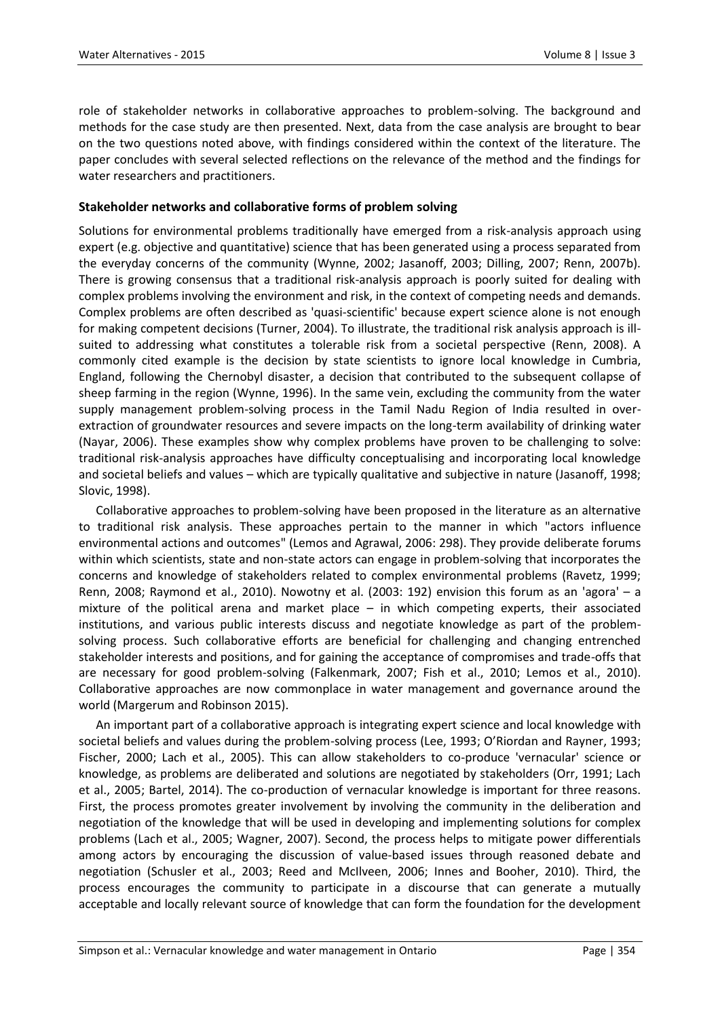role of stakeholder networks in collaborative approaches to problem-solving. The background and methods for the case study are then presented. Next, data from the case analysis are brought to bear on the two questions noted above, with findings considered within the context of the literature. The paper concludes with several selected reflections on the relevance of the method and the findings for water researchers and practitioners.

# **Stakeholder networks and collaborative forms of problem solving**

Solutions for environmental problems traditionally have emerged from a risk-analysis approach using expert (e.g. objective and quantitative) science that has been generated using a process separated from the everyday concerns of the community (Wynne, 2002; Jasanoff, 2003; Dilling, 2007; Renn, 2007b). There is growing consensus that a traditional risk-analysis approach is poorly suited for dealing with complex problems involving the environment and risk, in the context of competing needs and demands. Complex problems are often described as 'quasi-scientific' because expert science alone is not enough for making competent decisions (Turner, 2004). To illustrate, the traditional risk analysis approach is illsuited to addressing what constitutes a tolerable risk from a societal perspective (Renn, 2008). A commonly cited example is the decision by state scientists to ignore local knowledge in Cumbria, England, following the Chernobyl disaster, a decision that contributed to the subsequent collapse of sheep farming in the region (Wynne, 1996). In the same vein, excluding the community from the water supply management problem-solving process in the Tamil Nadu Region of India resulted in overextraction of groundwater resources and severe impacts on the long-term availability of drinking water (Nayar, 2006). These examples show why complex problems have proven to be challenging to solve: traditional risk-analysis approaches have difficulty conceptualising and incorporating local knowledge and societal beliefs and values – which are typically qualitative and subjective in nature (Jasanoff, 1998; Slovic, 1998).

Collaborative approaches to problem-solving have been proposed in the literature as an alternative to traditional risk analysis. These approaches pertain to the manner in which "actors influence environmental actions and outcomes" (Lemos and Agrawal, 2006: 298). They provide deliberate forums within which scientists, state and non-state actors can engage in problem-solving that incorporates the concerns and knowledge of stakeholders related to complex environmental problems (Ravetz, 1999; Renn, 2008; Raymond et al., 2010). Nowotny et al. (2003: 192) envision this forum as an 'agora' – a mixture of the political arena and market place – in which competing experts, their associated institutions, and various public interests discuss and negotiate knowledge as part of the problemsolving process. Such collaborative efforts are beneficial for challenging and changing entrenched stakeholder interests and positions, and for gaining the acceptance of compromises and trade-offs that are necessary for good problem-solving (Falkenmark, 2007; Fish et al., 2010; Lemos et al., 2010). Collaborative approaches are now commonplace in water management and governance around the world (Margerum and Robinson 2015).

An important part of a collaborative approach is integrating expert science and local knowledge with societal beliefs and values during the problem-solving process (Lee, 1993; O'Riordan and Rayner, 1993; Fischer, 2000; Lach et al., 2005). This can allow stakeholders to co-produce 'vernacular' science or knowledge, as problems are deliberated and solutions are negotiated by stakeholders (Orr, 1991; Lach et al., 2005; Bartel, 2014). The co-production of vernacular knowledge is important for three reasons. First, the process promotes greater involvement by involving the community in the deliberation and negotiation of the knowledge that will be used in developing and implementing solutions for complex problems (Lach et al., 2005; Wagner, 2007). Second, the process helps to mitigate power differentials among actors by encouraging the discussion of value-based issues through reasoned debate and negotiation (Schusler et al., 2003; Reed and McIlveen, 2006; Innes and Booher, 2010). Third, the process encourages the community to participate in a discourse that can generate a mutually acceptable and locally relevant source of knowledge that can form the foundation for the development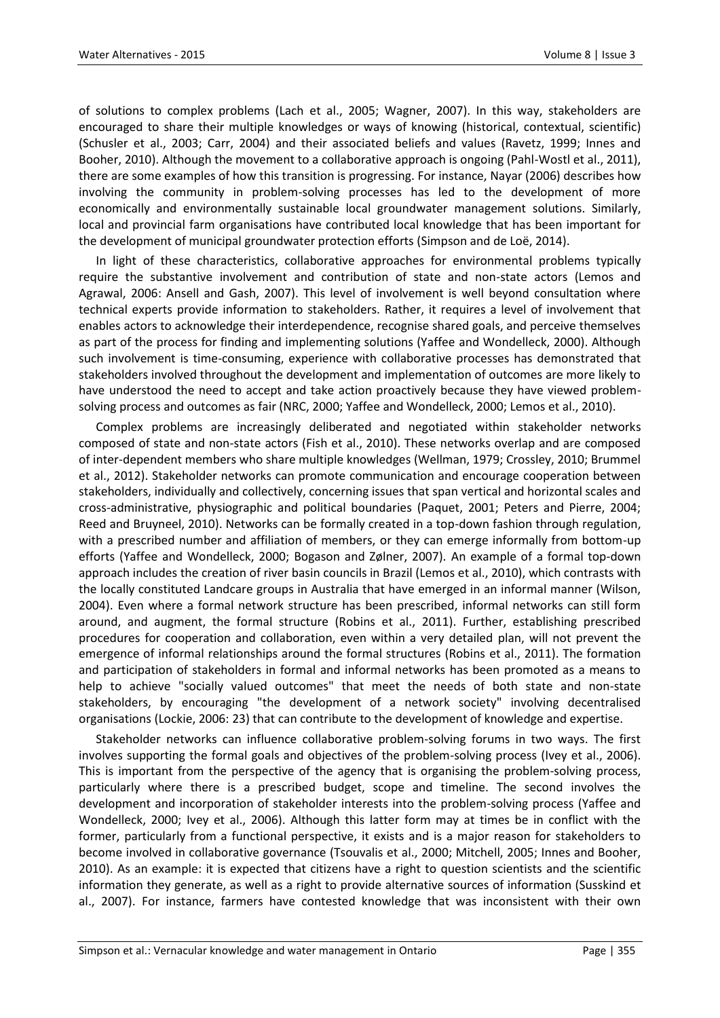of solutions to complex problems (Lach et al., 2005; Wagner, 2007). In this way, stakeholders are encouraged to share their multiple knowledges or ways of knowing (historical, contextual, scientific) (Schusler et al., 2003; Carr, 2004) and their associated beliefs and values (Ravetz, 1999; Innes and Booher, 2010). Although the movement to a collaborative approach is ongoing (Pahl-Wostl et al., 2011), there are some examples of how this transition is progressing. For instance, Nayar (2006) describes how involving the community in problem-solving processes has led to the development of more economically and environmentally sustainable local groundwater management solutions. Similarly, local and provincial farm organisations have contributed local knowledge that has been important for the development of municipal groundwater protection efforts (Simpson and de Loë, 2014).

In light of these characteristics, collaborative approaches for environmental problems typically require the substantive involvement and contribution of state and non-state actors (Lemos and Agrawal, 2006: Ansell and Gash, 2007). This level of involvement is well beyond consultation where technical experts provide information to stakeholders. Rather, it requires a level of involvement that enables actors to acknowledge their interdependence, recognise shared goals, and perceive themselves as part of the process for finding and implementing solutions (Yaffee and Wondelleck, 2000). Although such involvement is time-consuming, experience with collaborative processes has demonstrated that stakeholders involved throughout the development and implementation of outcomes are more likely to have understood the need to accept and take action proactively because they have viewed problemsolving process and outcomes as fair (NRC, 2000; Yaffee and Wondelleck, 2000; Lemos et al., 2010).

Complex problems are increasingly deliberated and negotiated within stakeholder networks composed of state and non-state actors (Fish et al., 2010). These networks overlap and are composed of inter-dependent members who share multiple knowledges (Wellman, 1979; Crossley, 2010; Brummel et al., 2012). Stakeholder networks can promote communication and encourage cooperation between stakeholders, individually and collectively, concerning issues that span vertical and horizontal scales and cross-administrative, physiographic and political boundaries (Paquet, 2001; Peters and Pierre, 2004; Reed and Bruyneel, 2010). Networks can be formally created in a top-down fashion through regulation, with a prescribed number and affiliation of members, or they can emerge informally from bottom-up efforts (Yaffee and Wondelleck, 2000; Bogason and Zølner, 2007). An example of a formal top-down approach includes the creation of river basin councils in Brazil (Lemos et al., 2010), which contrasts with the locally constituted Landcare groups in Australia that have emerged in an informal manner (Wilson, 2004). Even where a formal network structure has been prescribed, informal networks can still form around, and augment, the formal structure (Robins et al., 2011). Further, establishing prescribed procedures for cooperation and collaboration, even within a very detailed plan, will not prevent the emergence of informal relationships around the formal structures (Robins et al., 2011). The formation and participation of stakeholders in formal and informal networks has been promoted as a means to help to achieve "socially valued outcomes" that meet the needs of both state and non-state stakeholders, by encouraging "the development of a network society" involving decentralised organisations (Lockie, 2006: 23) that can contribute to the development of knowledge and expertise.

Stakeholder networks can influence collaborative problem-solving forums in two ways. The first involves supporting the formal goals and objectives of the problem-solving process (Ivey et al., 2006). This is important from the perspective of the agency that is organising the problem-solving process, particularly where there is a prescribed budget, scope and timeline. The second involves the development and incorporation of stakeholder interests into the problem-solving process (Yaffee and Wondelleck, 2000; Ivey et al., 2006). Although this latter form may at times be in conflict with the former, particularly from a functional perspective, it exists and is a major reason for stakeholders to become involved in collaborative governance (Tsouvalis et al., 2000; Mitchell, 2005; Innes and Booher, 2010). As an example: it is expected that citizens have a right to question scientists and the scientific information they generate, as well as a right to provide alternative sources of information (Susskind et al., 2007). For instance, farmers have contested knowledge that was inconsistent with their own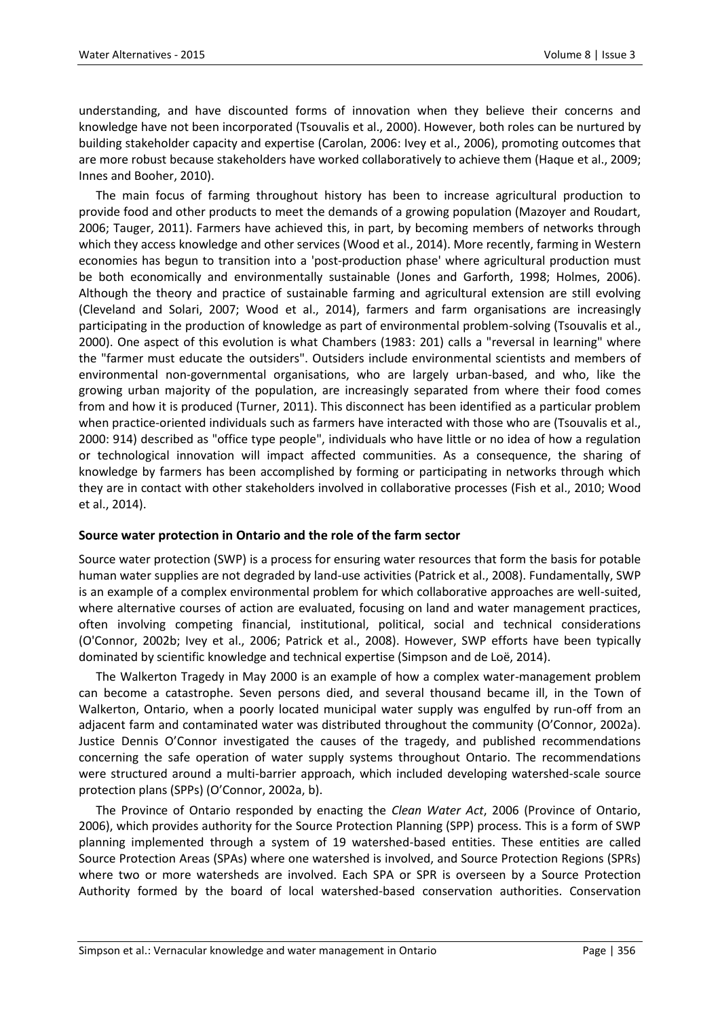understanding, and have discounted forms of innovation when they believe their concerns and knowledge have not been incorporated (Tsouvalis et al., 2000). However, both roles can be nurtured by building stakeholder capacity and expertise (Carolan, 2006: Ivey et al., 2006), promoting outcomes that are more robust because stakeholders have worked collaboratively to achieve them (Haque et al., 2009; Innes and Booher, 2010).

The main focus of farming throughout history has been to increase agricultural production to provide food and other products to meet the demands of a growing population (Mazoyer and Roudart, 2006; Tauger, 2011). Farmers have achieved this, in part, by becoming members of networks through which they access knowledge and other services (Wood et al., 2014). More recently, farming in Western economies has begun to transition into a 'post-production phase' where agricultural production must be both economically and environmentally sustainable (Jones and Garforth, 1998; Holmes, 2006). Although the theory and practice of sustainable farming and agricultural extension are still evolving (Cleveland and Solari, 2007; Wood et al., 2014), farmers and farm organisations are increasingly participating in the production of knowledge as part of environmental problem-solving (Tsouvalis et al., 2000). One aspect of this evolution is what Chambers (1983: 201) calls a "reversal in learning" where the "farmer must educate the outsiders". Outsiders include environmental scientists and members of environmental non-governmental organisations, who are largely urban-based, and who, like the growing urban majority of the population, are increasingly separated from where their food comes from and how it is produced (Turner, 2011). This disconnect has been identified as a particular problem when practice-oriented individuals such as farmers have interacted with those who are (Tsouvalis et al., 2000: 914) described as "office type people", individuals who have little or no idea of how a regulation or technological innovation will impact affected communities. As a consequence, the sharing of knowledge by farmers has been accomplished by forming or participating in networks through which they are in contact with other stakeholders involved in collaborative processes (Fish et al., 2010; Wood et al., 2014).

# **Source water protection in Ontario and the role of the farm sector**

Source water protection (SWP) is a process for ensuring water resources that form the basis for potable human water supplies are not degraded by land-use activities (Patrick et al., 2008). Fundamentally, SWP is an example of a complex environmental problem for which collaborative approaches are well-suited, where alternative courses of action are evaluated, focusing on land and water management practices, often involving competing financial, institutional, political, social and technical considerations (O'Connor, 2002b; Ivey et al., 2006; Patrick et al., 2008). However, SWP efforts have been typically dominated by scientific knowledge and technical expertise (Simpson and de Loë, 2014).

The Walkerton Tragedy in May 2000 is an example of how a complex water-management problem can become a catastrophe. Seven persons died, and several thousand became ill, in the Town of Walkerton, Ontario, when a poorly located municipal water supply was engulfed by run-off from an adjacent farm and contaminated water was distributed throughout the community (O'Connor, 2002a). Justice Dennis O'Connor investigated the causes of the tragedy, and published recommendations concerning the safe operation of water supply systems throughout Ontario. The recommendations were structured around a multi-barrier approach, which included developing watershed-scale source protection plans (SPPs) (O'Connor, 2002a, b).

The Province of Ontario responded by enacting the *Clean Water Act*, 2006 (Province of Ontario, 2006), which provides authority for the Source Protection Planning (SPP) process. This is a form of SWP planning implemented through a system of 19 watershed-based entities. These entities are called Source Protection Areas (SPAs) where one watershed is involved, and Source Protection Regions (SPRs) where two or more watersheds are involved. Each SPA or SPR is overseen by a Source Protection Authority formed by the board of local watershed-based conservation authorities. Conservation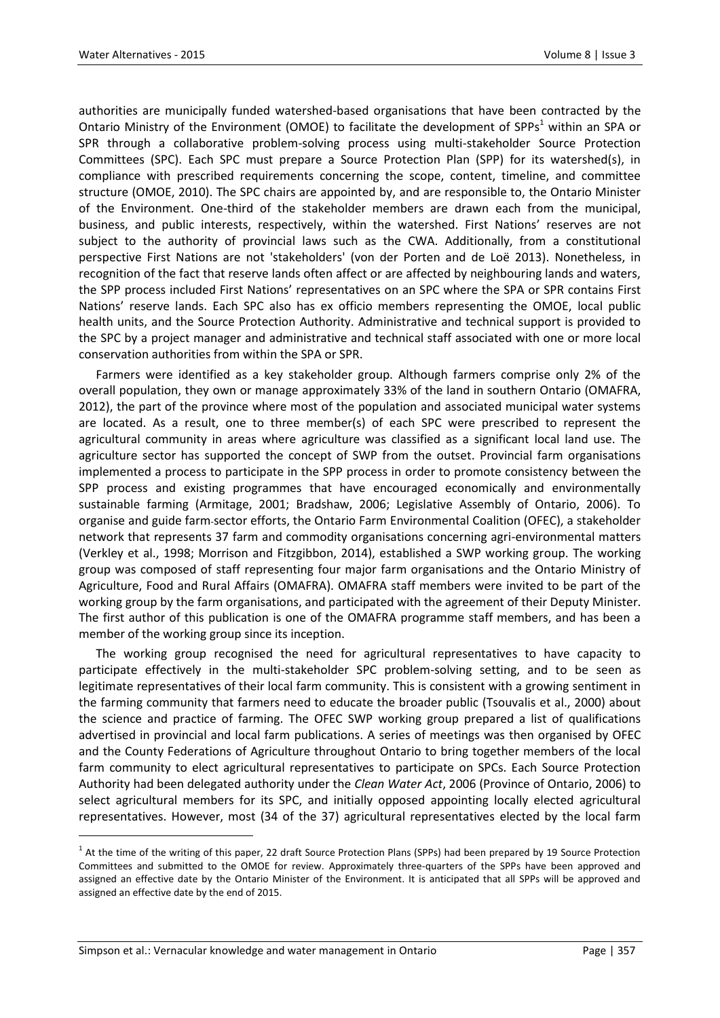authorities are municipally funded watershed-based organisations that have been contracted by the Ontario Ministry of the Environment (OMOE) to facilitate the development of SPPs<sup>1</sup> within an SPA or SPR through a collaborative problem-solving process using multi-stakeholder Source Protection Committees (SPC). Each SPC must prepare a Source Protection Plan (SPP) for its watershed(s), in compliance with prescribed requirements concerning the scope, content, timeline, and committee structure (OMOE, 2010). The SPC chairs are appointed by, and are responsible to, the Ontario Minister of the Environment. One-third of the stakeholder members are drawn each from the municipal, business, and public interests, respectively, within the watershed. First Nations' reserves are not subject to the authority of provincial laws such as the CWA. Additionally, from a constitutional perspective First Nations are not 'stakeholders' (von der Porten and de Loë 2013). Nonetheless, in recognition of the fact that reserve lands often affect or are affected by neighbouring lands and waters, the SPP process included First Nations' representatives on an SPC where the SPA or SPR contains First Nations' reserve lands. Each SPC also has ex officio members representing the OMOE, local public health units, and the Source Protection Authority. Administrative and technical support is provided to the SPC by a project manager and administrative and technical staff associated with one or more local conservation authorities from within the SPA or SPR.

Farmers were identified as a key stakeholder group. Although farmers comprise only 2% of the overall population, they own or manage approximately 33% of the land in southern Ontario (OMAFRA, 2012), the part of the province where most of the population and associated municipal water systems are located. As a result, one to three member(s) of each SPC were prescribed to represent the agricultural community in areas where agriculture was classified as a significant local land use. The agriculture sector has supported the concept of SWP from the outset. Provincial farm organisations implemented a process to participate in the SPP process in order to promote consistency between the SPP process and existing programmes that have encouraged economically and environmentally sustainable farming (Armitage, 2001; Bradshaw, 2006; Legislative Assembly of Ontario, 2006). To organise and guide farm-sector efforts, the Ontario Farm Environmental Coalition (OFEC), a stakeholder network that represents 37 farm and commodity organisations concerning agri-environmental matters (Verkley et al., 1998; Morrison and Fitzgibbon, 2014), established a SWP working group. The working group was composed of staff representing four major farm organisations and the Ontario Ministry of Agriculture, Food and Rural Affairs (OMAFRA). OMAFRA staff members were invited to be part of the working group by the farm organisations, and participated with the agreement of their Deputy Minister. The first author of this publication is one of the OMAFRA programme staff members, and has been a member of the working group since its inception.

The working group recognised the need for agricultural representatives to have capacity to participate effectively in the multi-stakeholder SPC problem-solving setting, and to be seen as legitimate representatives of their local farm community. This is consistent with a growing sentiment in the farming community that farmers need to educate the broader public (Tsouvalis et al., 2000) about the science and practice of farming. The OFEC SWP working group prepared a list of qualifications advertised in provincial and local farm publications. A series of meetings was then organised by OFEC and the County Federations of Agriculture throughout Ontario to bring together members of the local farm community to elect agricultural representatives to participate on SPCs. Each Source Protection Authority had been delegated authority under the *Clean Water Act*, 2006 (Province of Ontario, 2006) to select agricultural members for its SPC, and initially opposed appointing locally elected agricultural representatives. However, most (34 of the 37) agricultural representatives elected by the local farm

 $\overline{a}$ 

 $1$  At the time of the writing of this paper, 22 draft Source Protection Plans (SPPs) had been prepared by 19 Source Protection Committees and submitted to the OMOE for review. Approximately three-quarters of the SPPs have been approved and assigned an effective date by the Ontario Minister of the Environment. It is anticipated that all SPPs will be approved and assigned an effective date by the end of 2015.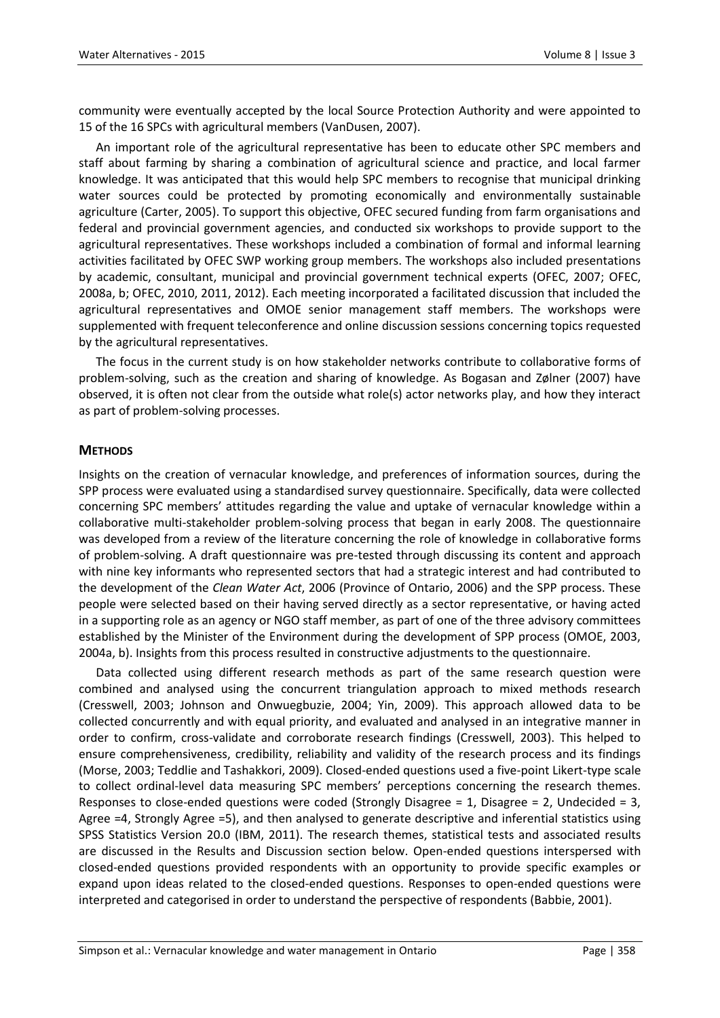community were eventually accepted by the local Source Protection Authority and were appointed to 15 of the 16 SPCs with agricultural members (VanDusen, 2007).

An important role of the agricultural representative has been to educate other SPC members and staff about farming by sharing a combination of agricultural science and practice, and local farmer knowledge. It was anticipated that this would help SPC members to recognise that municipal drinking water sources could be protected by promoting economically and environmentally sustainable agriculture (Carter, 2005). To support this objective, OFEC secured funding from farm organisations and federal and provincial government agencies, and conducted six workshops to provide support to the agricultural representatives. These workshops included a combination of formal and informal learning activities facilitated by OFEC SWP working group members. The workshops also included presentations by academic, consultant, municipal and provincial government technical experts (OFEC, 2007; OFEC, 2008a, b; OFEC, 2010, 2011, 2012). Each meeting incorporated a facilitated discussion that included the agricultural representatives and OMOE senior management staff members. The workshops were supplemented with frequent teleconference and online discussion sessions concerning topics requested by the agricultural representatives.

The focus in the current study is on how stakeholder networks contribute to collaborative forms of problem-solving, such as the creation and sharing of knowledge. As Bogasan and Zølner (2007) have observed, it is often not clear from the outside what role(s) actor networks play, and how they interact as part of problem-solving processes.

# **METHODS**

Insights on the creation of vernacular knowledge, and preferences of information sources, during the SPP process were evaluated using a standardised survey questionnaire. Specifically, data were collected concerning SPC members' attitudes regarding the value and uptake of vernacular knowledge within a collaborative multi-stakeholder problem-solving process that began in early 2008. The questionnaire was developed from a review of the literature concerning the role of knowledge in collaborative forms of problem-solving. A draft questionnaire was pre-tested through discussing its content and approach with nine key informants who represented sectors that had a strategic interest and had contributed to the development of the *Clean Water Act*, 2006 (Province of Ontario, 2006) and the SPP process. These people were selected based on their having served directly as a sector representative, or having acted in a supporting role as an agency or NGO staff member, as part of one of the three advisory committees established by the Minister of the Environment during the development of SPP process (OMOE, 2003, 2004a, b). Insights from this process resulted in constructive adjustments to the questionnaire.

Data collected using different research methods as part of the same research question were combined and analysed using the concurrent triangulation approach to mixed methods research (Cresswell, 2003; Johnson and Onwuegbuzie, 2004; Yin, 2009). This approach allowed data to be collected concurrently and with equal priority, and evaluated and analysed in an integrative manner in order to confirm, cross-validate and corroborate research findings (Cresswell, 2003). This helped to ensure comprehensiveness, credibility, reliability and validity of the research process and its findings (Morse, 2003; Teddlie and Tashakkori, 2009). Closed-ended questions used a five-point Likert-type scale to collect ordinal-level data measuring SPC members' perceptions concerning the research themes. Responses to close-ended questions were coded (Strongly Disagree = 1, Disagree = 2, Undecided = 3, Agree =4, Strongly Agree =5), and then analysed to generate descriptive and inferential statistics using SPSS Statistics Version 20.0 (IBM, 2011). The research themes, statistical tests and associated results are discussed in the Results and Discussion section below. Open-ended questions interspersed with closed-ended questions provided respondents with an opportunity to provide specific examples or expand upon ideas related to the closed-ended questions. Responses to open-ended questions were interpreted and categorised in order to understand the perspective of respondents (Babbie, 2001).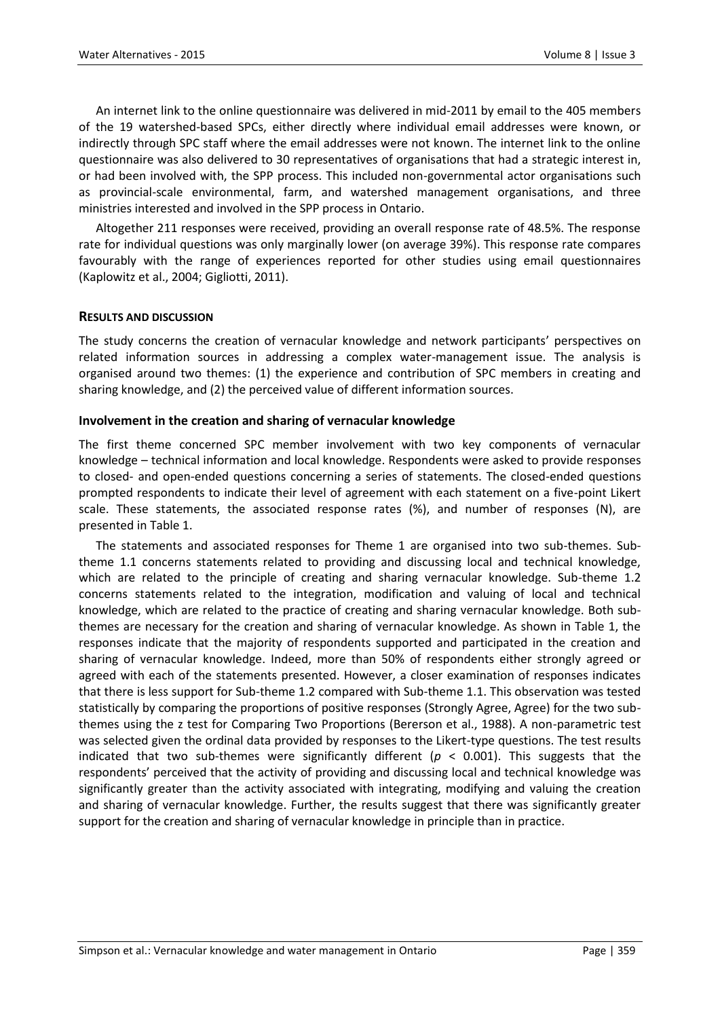An internet link to the online questionnaire was delivered in mid-2011 by email to the 405 members of the 19 watershed-based SPCs, either directly where individual email addresses were known, or indirectly through SPC staff where the email addresses were not known. The internet link to the online questionnaire was also delivered to 30 representatives of organisations that had a strategic interest in, or had been involved with, the SPP process. This included non-governmental actor organisations such as provincial-scale environmental, farm, and watershed management organisations, and three ministries interested and involved in the SPP process in Ontario.

Altogether 211 responses were received, providing an overall response rate of 48.5%. The response rate for individual questions was only marginally lower (on average 39%). This response rate compares favourably with the range of experiences reported for other studies using email questionnaires (Kaplowitz et al., 2004; Gigliotti, 2011).

#### **RESULTS AND DISCUSSION**

The study concerns the creation of vernacular knowledge and network participants' perspectives on related information sources in addressing a complex water-management issue. The analysis is organised around two themes: (1) the experience and contribution of SPC members in creating and sharing knowledge, and (2) the perceived value of different information sources.

#### **Involvement in the creation and sharing of vernacular knowledge**

The first theme concerned SPC member involvement with two key components of vernacular knowledge – technical information and local knowledge. Respondents were asked to provide responses to closed- and open-ended questions concerning a series of statements. The closed-ended questions prompted respondents to indicate their level of agreement with each statement on a five-point Likert scale. These statements, the associated response rates (%), and number of responses (N), are presented in Table 1.

The statements and associated responses for Theme 1 are organised into two sub-themes. Subtheme 1.1 concerns statements related to providing and discussing local and technical knowledge, which are related to the principle of creating and sharing vernacular knowledge. Sub-theme 1.2 concerns statements related to the integration, modification and valuing of local and technical knowledge, which are related to the practice of creating and sharing vernacular knowledge. Both subthemes are necessary for the creation and sharing of vernacular knowledge. As shown in Table 1, the responses indicate that the majority of respondents supported and participated in the creation and sharing of vernacular knowledge. Indeed, more than 50% of respondents either strongly agreed or agreed with each of the statements presented. However, a closer examination of responses indicates that there is less support for Sub-theme 1.2 compared with Sub-theme 1.1. This observation was tested statistically by comparing the proportions of positive responses (Strongly Agree, Agree) for the two subthemes using the z test for Comparing Two Proportions (Bererson et al., 1988). A non-parametric test was selected given the ordinal data provided by responses to the Likert-type questions. The test results indicated that two sub-themes were significantly different ( $p < 0.001$ ). This suggests that the respondents' perceived that the activity of providing and discussing local and technical knowledge was significantly greater than the activity associated with integrating, modifying and valuing the creation and sharing of vernacular knowledge. Further, the results suggest that there was significantly greater support for the creation and sharing of vernacular knowledge in principle than in practice.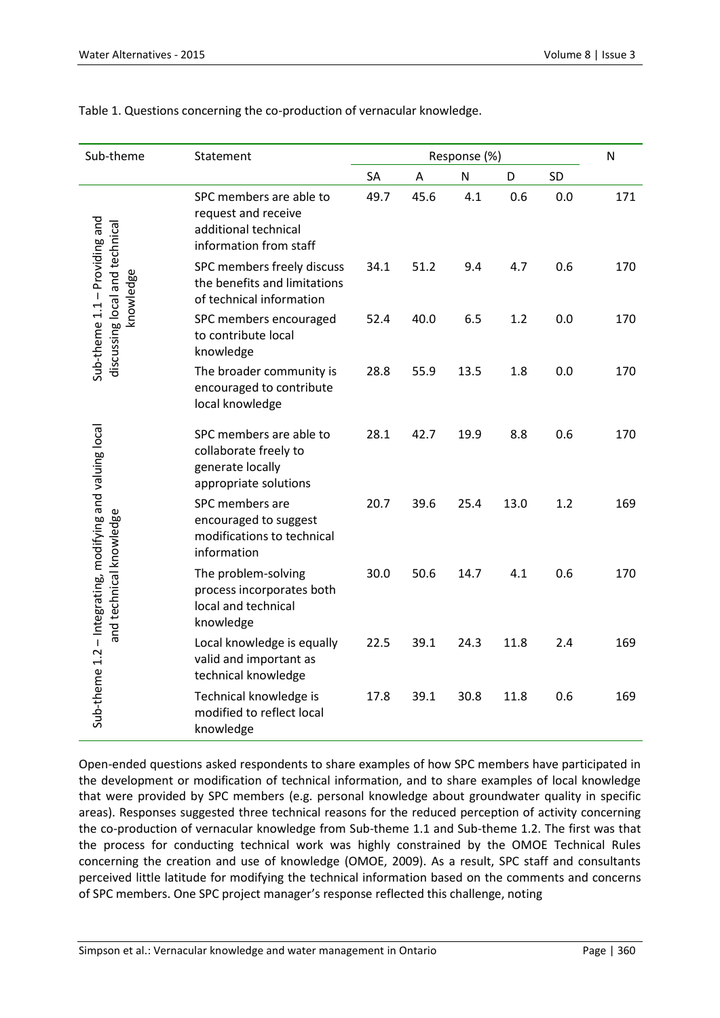| Sub-theme                                                                           | Statement                                                                                        | Response (%) |      |      |      |           | N   |
|-------------------------------------------------------------------------------------|--------------------------------------------------------------------------------------------------|--------------|------|------|------|-----------|-----|
|                                                                                     |                                                                                                  | SA           | A    | N    | D    | <b>SD</b> |     |
| Sub-theme 1.1 - Providing and<br>discussing local and technical<br>knowledge        | SPC members are able to<br>request and receive<br>additional technical<br>information from staff | 49.7         | 45.6 | 4.1  | 0.6  | 0.0       | 171 |
|                                                                                     | SPC members freely discuss<br>the benefits and limitations<br>of technical information           | 34.1         | 51.2 | 9.4  | 4.7  | 0.6       | 170 |
|                                                                                     | SPC members encouraged<br>to contribute local<br>knowledge                                       | 52.4         | 40.0 | 6.5  | 1.2  | 0.0       | 170 |
|                                                                                     | The broader community is<br>encouraged to contribute<br>local knowledge                          | 28.8         | 55.9 | 13.5 | 1.8  | 0.0       | 170 |
| Sub-theme 1.2 – Integrating, modifying and valuing local<br>and technical knowledge | SPC members are able to<br>collaborate freely to<br>generate locally<br>appropriate solutions    | 28.1         | 42.7 | 19.9 | 8.8  | 0.6       | 170 |
|                                                                                     | SPC members are<br>encouraged to suggest<br>modifications to technical<br>information            | 20.7         | 39.6 | 25.4 | 13.0 | 1.2       | 169 |
|                                                                                     | The problem-solving<br>process incorporates both<br>local and technical<br>knowledge             | 30.0         | 50.6 | 14.7 | 4.1  | 0.6       | 170 |
|                                                                                     | Local knowledge is equally<br>valid and important as<br>technical knowledge                      | 22.5         | 39.1 | 24.3 | 11.8 | 2.4       | 169 |
|                                                                                     | Technical knowledge is<br>modified to reflect local<br>knowledge                                 | 17.8         | 39.1 | 30.8 | 11.8 | 0.6       | 169 |

# Table 1. Questions concerning the co-production of vernacular knowledge.

Open-ended questions asked respondents to share examples of how SPC members have participated in the development or modification of technical information, and to share examples of local knowledge that were provided by SPC members (e.g. personal knowledge about groundwater quality in specific areas). Responses suggested three technical reasons for the reduced perception of activity concerning the co-production of vernacular knowledge from Sub-theme 1.1 and Sub-theme 1.2. The first was that the process for conducting technical work was highly constrained by the OMOE Technical Rules concerning the creation and use of knowledge (OMOE, 2009). As a result, SPC staff and consultants perceived little latitude for modifying the technical information based on the comments and concerns of SPC members. One SPC project manager's response reflected this challenge, noting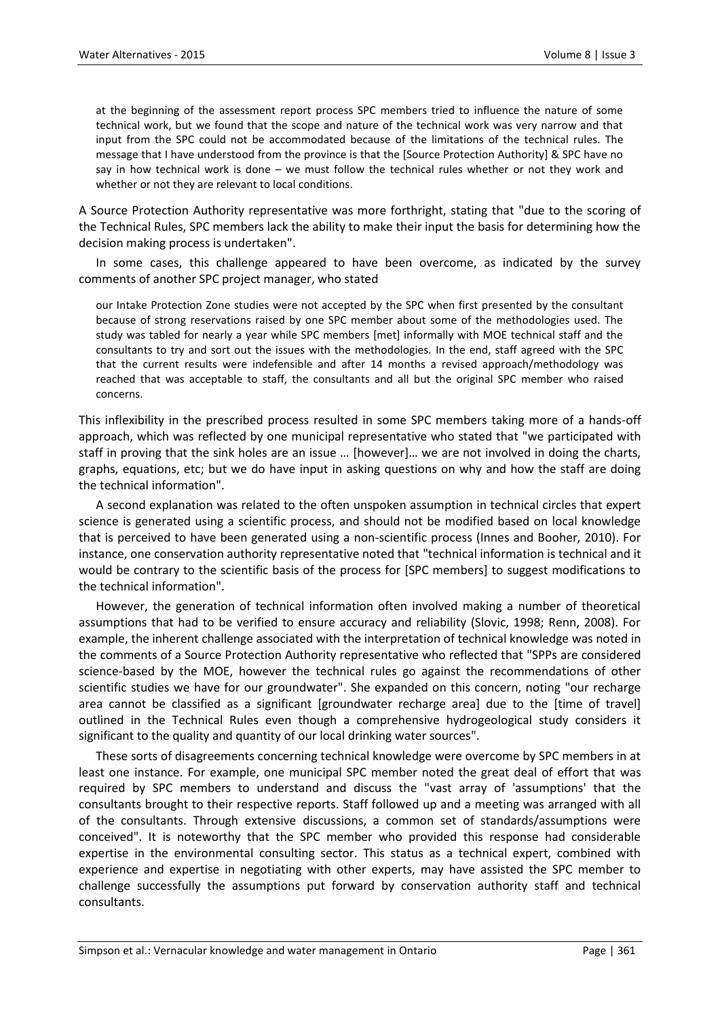at the beginning of the assessment report process SPC members tried to influence the nature of some technical work, but we found that the scope and nature of the technical work was very narrow and that input from the SPC could not be accommodated because of the limitations of the technical rules. The message that I have understood from the province is that the [Source Protection Authority] & SPC have no say in how technical work is done – we must follow the technical rules whether or not they work and whether or not they are relevant to local conditions.

A Source Protection Authority representative was more forthright, stating that "due to the scoring of the Technical Rules, SPC members lack the ability to make their input the basis for determining how the decision making process is undertaken".

In some cases, this challenge appeared to have been overcome, as indicated by the survey comments of another SPC project manager, who stated

our Intake Protection Zone studies were not accepted by the SPC when first presented by the consultant because of strong reservations raised by one SPC member about some of the methodologies used. The study was tabled for nearly a year while SPC members [met] informally with MOE technical staff and the consultants to try and sort out the issues with the methodologies. In the end, staff agreed with the SPC that the current results were indefensible and after 14 months a revised approach/methodology was reached that was acceptable to staff, the consultants and all but the original SPC member who raised concerns.

This inflexibility in the prescribed process resulted in some SPC members taking more of a hands-off approach, which was reflected by one municipal representative who stated that "we participated with staff in proving that the sink holes are an issue … [however]… we are not involved in doing the charts, graphs, equations, etc; but we do have input in asking questions on why and how the staff are doing the technical information".

A second explanation was related to the often unspoken assumption in technical circles that expert science is generated using a scientific process, and should not be modified based on local knowledge that is perceived to have been generated using a non-scientific process (Innes and Booher, 2010). For instance, one conservation authority representative noted that "technical information is technical and it would be contrary to the scientific basis of the process for [SPC members] to suggest modifications to the technical information".

However, the generation of technical information often involved making a number of theoretical assumptions that had to be verified to ensure accuracy and reliability (Slovic, 1998; Renn, 2008). For example, the inherent challenge associated with the interpretation of technical knowledge was noted in the comments of a Source Protection Authority representative who reflected that "SPPs are considered science-based by the MOE, however the technical rules go against the recommendations of other scientific studies we have for our groundwater". She expanded on this concern, noting "our recharge area cannot be classified as a significant [groundwater recharge area] due to the [time of travel] outlined in the Technical Rules even though a comprehensive hydrogeological study considers it significant to the quality and quantity of our local drinking water sources".

These sorts of disagreements concerning technical knowledge were overcome by SPC members in at least one instance. For example, one municipal SPC member noted the great deal of effort that was required by SPC members to understand and discuss the "vast array of 'assumptions' that the consultants brought to their respective reports. Staff followed up and a meeting was arranged with all of the consultants. Through extensive discussions, a common set of standards/assumptions were conceived". It is noteworthy that the SPC member who provided this response had considerable expertise in the environmental consulting sector. This status as a technical expert, combined with experience and expertise in negotiating with other experts, may have assisted the SPC member to challenge successfully the assumptions put forward by conservation authority staff and technical consultants.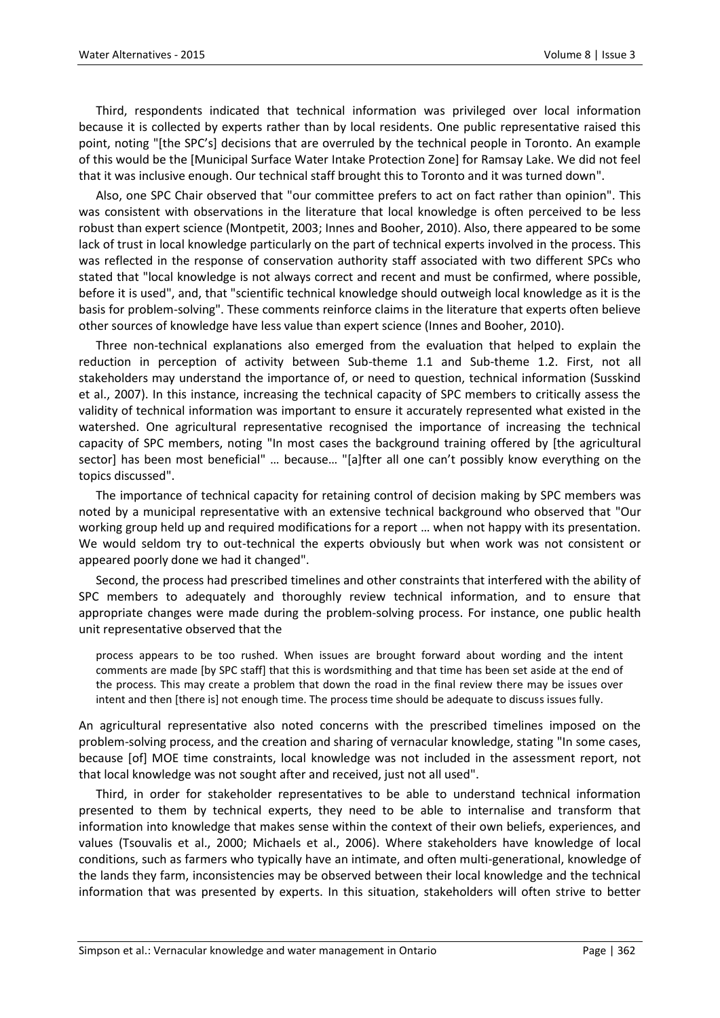Third, respondents indicated that technical information was privileged over local information because it is collected by experts rather than by local residents. One public representative raised this point, noting "[the SPC's] decisions that are overruled by the technical people in Toronto. An example of this would be the [Municipal Surface Water Intake Protection Zone] for Ramsay Lake. We did not feel that it was inclusive enough. Our technical staff brought this to Toronto and it was turned down".

Also, one SPC Chair observed that "our committee prefers to act on fact rather than opinion". This was consistent with observations in the literature that local knowledge is often perceived to be less robust than expert science (Montpetit, 2003; Innes and Booher, 2010). Also, there appeared to be some lack of trust in local knowledge particularly on the part of technical experts involved in the process. This was reflected in the response of conservation authority staff associated with two different SPCs who stated that "local knowledge is not always correct and recent and must be confirmed, where possible, before it is used", and, that "scientific technical knowledge should outweigh local knowledge as it is the basis for problem-solving". These comments reinforce claims in the literature that experts often believe other sources of knowledge have less value than expert science (Innes and Booher, 2010).

Three non-technical explanations also emerged from the evaluation that helped to explain the reduction in perception of activity between Sub-theme 1.1 and Sub-theme 1.2. First, not all stakeholders may understand the importance of, or need to question, technical information (Susskind et al., 2007). In this instance, increasing the technical capacity of SPC members to critically assess the validity of technical information was important to ensure it accurately represented what existed in the watershed. One agricultural representative recognised the importance of increasing the technical capacity of SPC members, noting "In most cases the background training offered by [the agricultural sector] has been most beneficial" … because… "[a]fter all one can't possibly know everything on the topics discussed".

The importance of technical capacity for retaining control of decision making by SPC members was noted by a municipal representative with an extensive technical background who observed that "Our working group held up and required modifications for a report … when not happy with its presentation. We would seldom try to out-technical the experts obviously but when work was not consistent or appeared poorly done we had it changed".

Second, the process had prescribed timelines and other constraints that interfered with the ability of SPC members to adequately and thoroughly review technical information, and to ensure that appropriate changes were made during the problem-solving process. For instance, one public health unit representative observed that the

process appears to be too rushed. When issues are brought forward about wording and the intent comments are made [by SPC staff] that this is wordsmithing and that time has been set aside at the end of the process. This may create a problem that down the road in the final review there may be issues over intent and then [there is] not enough time. The process time should be adequate to discuss issues fully.

An agricultural representative also noted concerns with the prescribed timelines imposed on the problem-solving process, and the creation and sharing of vernacular knowledge, stating "In some cases, because [of] MOE time constraints, local knowledge was not included in the assessment report, not that local knowledge was not sought after and received, just not all used".

Third, in order for stakeholder representatives to be able to understand technical information presented to them by technical experts, they need to be able to internalise and transform that information into knowledge that makes sense within the context of their own beliefs, experiences, and values (Tsouvalis et al., 2000; Michaels et al., 2006). Where stakeholders have knowledge of local conditions, such as farmers who typically have an intimate, and often multi-generational, knowledge of the lands they farm, inconsistencies may be observed between their local knowledge and the technical information that was presented by experts. In this situation, stakeholders will often strive to better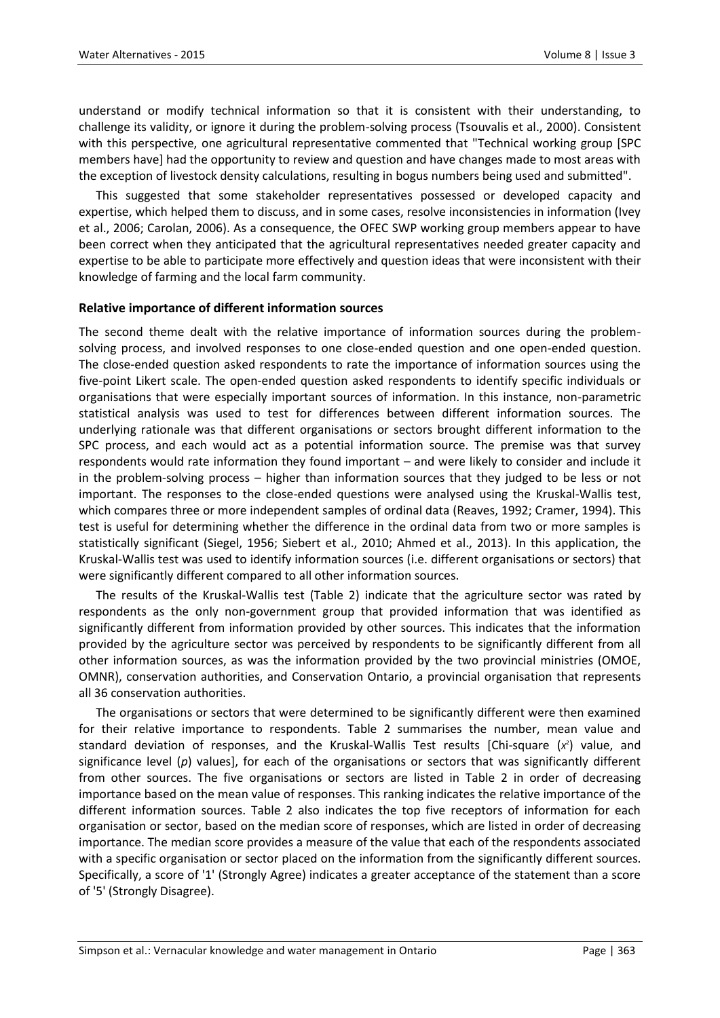understand or modify technical information so that it is consistent with their understanding, to challenge its validity, or ignore it during the problem-solving process (Tsouvalis et al., 2000). Consistent with this perspective, one agricultural representative commented that "Technical working group [SPC members have] had the opportunity to review and question and have changes made to most areas with the exception of livestock density calculations, resulting in bogus numbers being used and submitted".

This suggested that some stakeholder representatives possessed or developed capacity and expertise, which helped them to discuss, and in some cases, resolve inconsistencies in information (Ivey et al., 2006; Carolan, 2006). As a consequence, the OFEC SWP working group members appear to have been correct when they anticipated that the agricultural representatives needed greater capacity and expertise to be able to participate more effectively and question ideas that were inconsistent with their knowledge of farming and the local farm community.

# **Relative importance of different information sources**

The second theme dealt with the relative importance of information sources during the problemsolving process, and involved responses to one close-ended question and one open-ended question. The close-ended question asked respondents to rate the importance of information sources using the five-point Likert scale. The open-ended question asked respondents to identify specific individuals or organisations that were especially important sources of information. In this instance, non-parametric statistical analysis was used to test for differences between different information sources. The underlying rationale was that different organisations or sectors brought different information to the SPC process, and each would act as a potential information source. The premise was that survey respondents would rate information they found important – and were likely to consider and include it in the problem-solving process – higher than information sources that they judged to be less or not important. The responses to the close-ended questions were analysed using the Kruskal-Wallis test, which compares three or more independent samples of ordinal data (Reaves, 1992; Cramer, 1994). This test is useful for determining whether the difference in the ordinal data from two or more samples is statistically significant (Siegel, 1956; Siebert et al., 2010; Ahmed et al., 2013). In this application, the Kruskal-Wallis test was used to identify information sources (i.e. different organisations or sectors) that were significantly different compared to all other information sources.

The results of the Kruskal-Wallis test (Table 2) indicate that the agriculture sector was rated by respondents as the only non-government group that provided information that was identified as significantly different from information provided by other sources. This indicates that the information provided by the agriculture sector was perceived by respondents to be significantly different from all other information sources, as was the information provided by the two provincial ministries (OMOE, OMNR), conservation authorities, and Conservation Ontario, a provincial organisation that represents all 36 conservation authorities.

The organisations or sectors that were determined to be significantly different were then examined for their relative importance to respondents. Table 2 summarises the number, mean value and standard deviation of responses, and the Kruskal-Wallis Test results [Chi-square (x<sup>2</sup>) value, and significance level (p) values], for each of the organisations or sectors that was significantly different from other sources. The five organisations or sectors are listed in Table 2 in order of decreasing importance based on the mean value of responses. This ranking indicates the relative importance of the different information sources. Table 2 also indicates the top five receptors of information for each organisation or sector, based on the median score of responses, which are listed in order of decreasing importance. The median score provides a measure of the value that each of the respondents associated with a specific organisation or sector placed on the information from the significantly different sources. Specifically, a score of '1' (Strongly Agree) indicates a greater acceptance of the statement than a score of '5' (Strongly Disagree).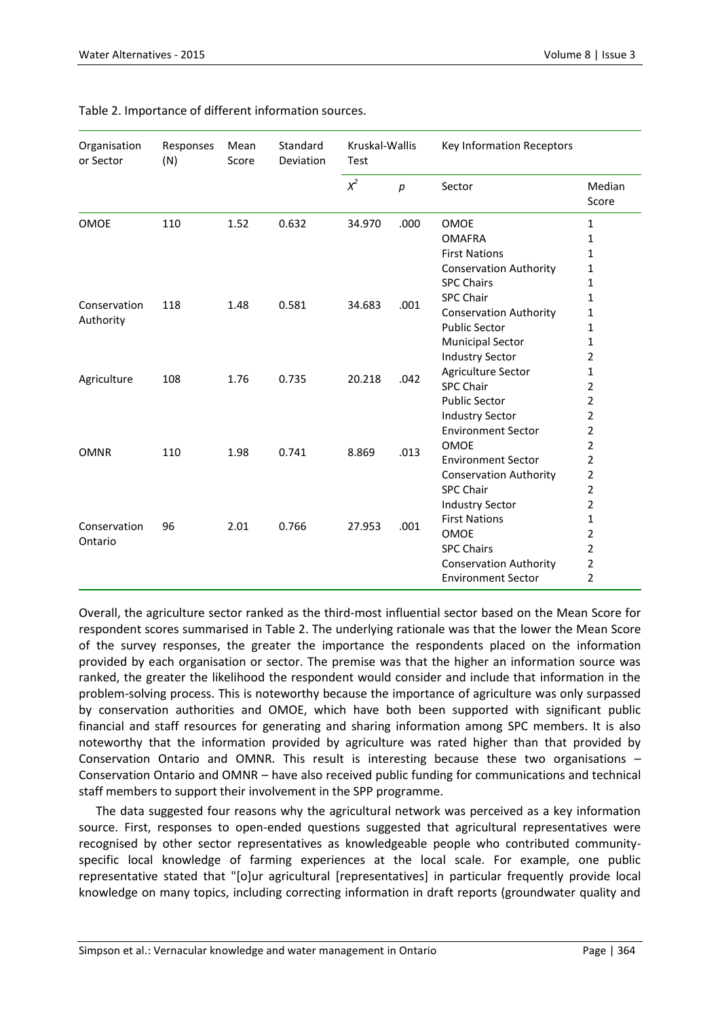| Organisation<br>or Sector | Responses<br>(N) | Mean<br>Score | Standard<br>Deviation | Kruskal-Wallis<br>Test |                  | Key Information Receptors     |                 |
|---------------------------|------------------|---------------|-----------------------|------------------------|------------------|-------------------------------|-----------------|
|                           |                  |               |                       | $x^2$                  | $\boldsymbol{D}$ | Sector                        | Median<br>Score |
| <b>OMOE</b>               | 110              | 1.52          | 0.632                 | 34.970                 | .000             | <b>OMOE</b>                   | $\mathbf{1}$    |
|                           |                  |               |                       |                        |                  | <b>OMAFRA</b>                 | $\mathbf{1}$    |
|                           |                  |               |                       |                        |                  | <b>First Nations</b>          | $\mathbf{1}$    |
|                           |                  |               |                       |                        |                  | <b>Conservation Authority</b> | $\mathbf{1}$    |
|                           |                  |               |                       |                        |                  | <b>SPC Chairs</b>             | $\mathbf{1}$    |
| Conservation<br>Authority | 118              | 1.48          | 0.581                 | 34.683                 | .001             | <b>SPC Chair</b>              | $\mathbf{1}$    |
|                           |                  |               |                       |                        |                  | <b>Conservation Authority</b> | 1               |
|                           |                  |               |                       |                        |                  | <b>Public Sector</b>          | 1               |
|                           |                  |               |                       |                        |                  | <b>Municipal Sector</b>       | 1               |
|                           |                  |               |                       |                        |                  | <b>Industry Sector</b>        | $\overline{2}$  |
| Agriculture               | 108              | 1.76          | 0.735                 | 20.218                 | .042             | Agriculture Sector            | 1               |
|                           |                  |               |                       |                        |                  | <b>SPC Chair</b>              | 2               |
|                           |                  |               |                       |                        |                  | <b>Public Sector</b>          | $\overline{2}$  |
|                           |                  |               |                       |                        |                  | <b>Industry Sector</b>        | $\overline{2}$  |
|                           |                  |               |                       |                        |                  | <b>Environment Sector</b>     | $\overline{2}$  |
| <b>OMNR</b>               | 110              | 1.98          | 0.741                 | 8.869                  | .013             | <b>OMOE</b>                   | $\overline{2}$  |
|                           |                  |               |                       |                        |                  | <b>Environment Sector</b>     | $\overline{2}$  |
|                           |                  |               |                       |                        |                  | <b>Conservation Authority</b> | $\overline{2}$  |
|                           |                  |               |                       |                        |                  | <b>SPC Chair</b>              | $\overline{2}$  |
|                           |                  |               |                       |                        |                  | <b>Industry Sector</b>        | $\overline{2}$  |
| Conservation<br>Ontario   | 96               |               |                       |                        |                  | <b>First Nations</b>          | $\mathbf{1}$    |
|                           |                  | 2.01          | 0.766                 | 27.953                 | .001             | OMOE                          | 2               |
|                           |                  |               |                       |                        |                  | <b>SPC Chairs</b>             | $\overline{2}$  |
|                           |                  |               |                       |                        |                  | <b>Conservation Authority</b> | $\overline{2}$  |
|                           |                  |               |                       |                        |                  | <b>Environment Sector</b>     | $\overline{2}$  |

# Table 2. Importance of different information sources.

Overall, the agriculture sector ranked as the third-most influential sector based on the Mean Score for respondent scores summarised in Table 2. The underlying rationale was that the lower the Mean Score of the survey responses, the greater the importance the respondents placed on the information provided by each organisation or sector. The premise was that the higher an information source was ranked, the greater the likelihood the respondent would consider and include that information in the problem-solving process. This is noteworthy because the importance of agriculture was only surpassed by conservation authorities and OMOE, which have both been supported with significant public financial and staff resources for generating and sharing information among SPC members. It is also noteworthy that the information provided by agriculture was rated higher than that provided by Conservation Ontario and OMNR. This result is interesting because these two organisations – Conservation Ontario and OMNR – have also received public funding for communications and technical staff members to support their involvement in the SPP programme.

The data suggested four reasons why the agricultural network was perceived as a key information source. First, responses to open-ended questions suggested that agricultural representatives were recognised by other sector representatives as knowledgeable people who contributed communityspecific local knowledge of farming experiences at the local scale. For example, one public representative stated that "[o]ur agricultural [representatives] in particular frequently provide local knowledge on many topics, including correcting information in draft reports (groundwater quality and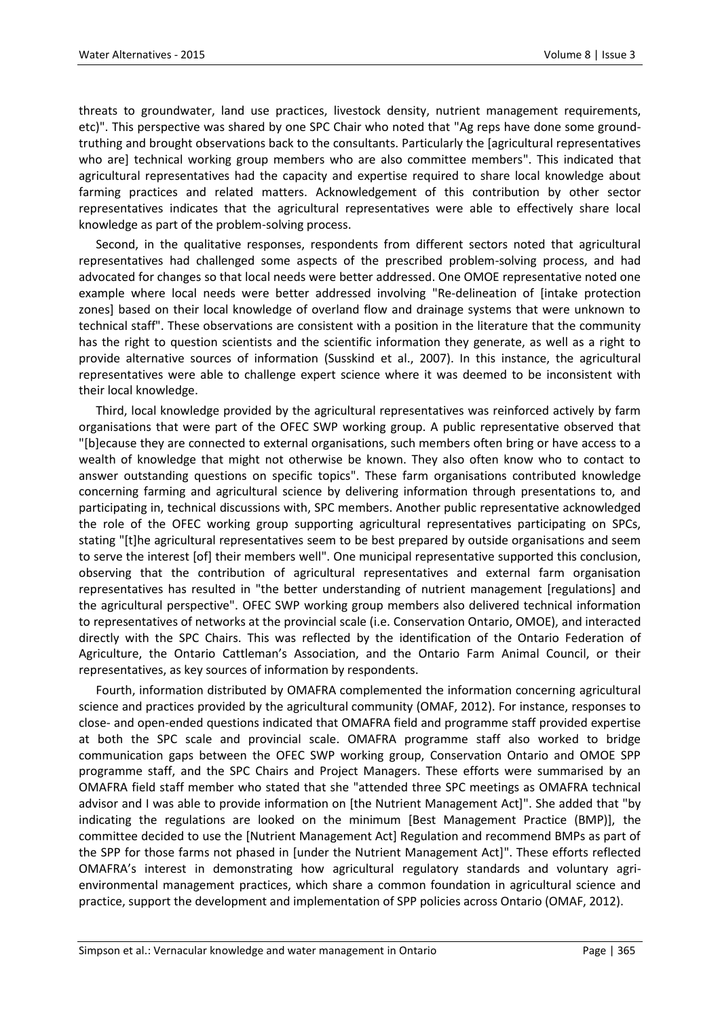threats to groundwater, land use practices, livestock density, nutrient management requirements, etc)". This perspective was shared by one SPC Chair who noted that "Ag reps have done some groundtruthing and brought observations back to the consultants. Particularly the [agricultural representatives who are] technical working group members who are also committee members". This indicated that agricultural representatives had the capacity and expertise required to share local knowledge about farming practices and related matters. Acknowledgement of this contribution by other sector representatives indicates that the agricultural representatives were able to effectively share local knowledge as part of the problem-solving process.

Second, in the qualitative responses, respondents from different sectors noted that agricultural representatives had challenged some aspects of the prescribed problem-solving process, and had advocated for changes so that local needs were better addressed. One OMOE representative noted one example where local needs were better addressed involving "Re-delineation of [intake protection zones] based on their local knowledge of overland flow and drainage systems that were unknown to technical staff". These observations are consistent with a position in the literature that the community has the right to question scientists and the scientific information they generate, as well as a right to provide alternative sources of information (Susskind et al., 2007). In this instance, the agricultural representatives were able to challenge expert science where it was deemed to be inconsistent with their local knowledge.

Third, local knowledge provided by the agricultural representatives was reinforced actively by farm organisations that were part of the OFEC SWP working group. A public representative observed that "[b]ecause they are connected to external organisations, such members often bring or have access to a wealth of knowledge that might not otherwise be known. They also often know who to contact to answer outstanding questions on specific topics". These farm organisations contributed knowledge concerning farming and agricultural science by delivering information through presentations to, and participating in, technical discussions with, SPC members. Another public representative acknowledged the role of the OFEC working group supporting agricultural representatives participating on SPCs, stating "[t]he agricultural representatives seem to be best prepared by outside organisations and seem to serve the interest [of] their members well". One municipal representative supported this conclusion, observing that the contribution of agricultural representatives and external farm organisation representatives has resulted in "the better understanding of nutrient management [regulations] and the agricultural perspective". OFEC SWP working group members also delivered technical information to representatives of networks at the provincial scale (i.e. Conservation Ontario, OMOE), and interacted directly with the SPC Chairs. This was reflected by the identification of the Ontario Federation of Agriculture, the Ontario Cattleman's Association, and the Ontario Farm Animal Council, or their representatives, as key sources of information by respondents.

Fourth, information distributed by OMAFRA complemented the information concerning agricultural science and practices provided by the agricultural community (OMAF, 2012). For instance, responses to close- and open-ended questions indicated that OMAFRA field and programme staff provided expertise at both the SPC scale and provincial scale. OMAFRA programme staff also worked to bridge communication gaps between the OFEC SWP working group, Conservation Ontario and OMOE SPP programme staff, and the SPC Chairs and Project Managers. These efforts were summarised by an OMAFRA field staff member who stated that she "attended three SPC meetings as OMAFRA technical advisor and I was able to provide information on [the Nutrient Management Act]". She added that "by indicating the regulations are looked on the minimum [Best Management Practice (BMP)], the committee decided to use the [Nutrient Management Act] Regulation and recommend BMPs as part of the SPP for those farms not phased in [under the Nutrient Management Act]". These efforts reflected OMAFRA's interest in demonstrating how agricultural regulatory standards and voluntary agrienvironmental management practices, which share a common foundation in agricultural science and practice, support the development and implementation of SPP policies across Ontario (OMAF, 2012).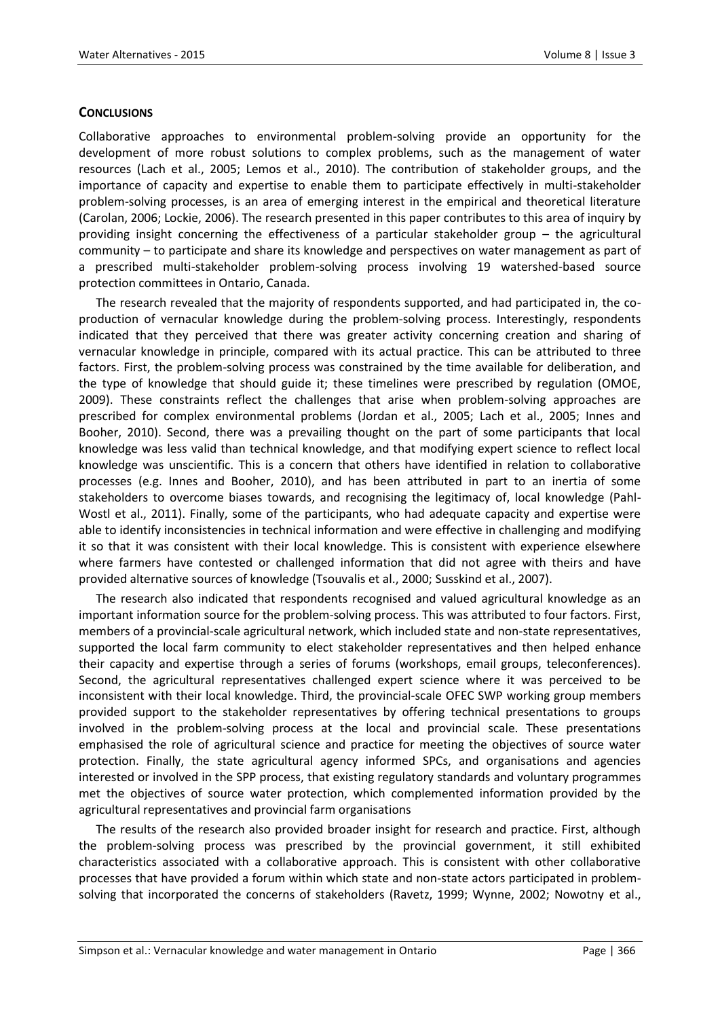# **CONCLUSIONS**

Collaborative approaches to environmental problem-solving provide an opportunity for the development of more robust solutions to complex problems, such as the management of water resources (Lach et al., 2005; Lemos et al., 2010). The contribution of stakeholder groups, and the importance of capacity and expertise to enable them to participate effectively in multi-stakeholder problem-solving processes, is an area of emerging interest in the empirical and theoretical literature (Carolan, 2006; Lockie, 2006). The research presented in this paper contributes to this area of inquiry by providing insight concerning the effectiveness of a particular stakeholder group – the agricultural community – to participate and share its knowledge and perspectives on water management as part of a prescribed multi-stakeholder problem-solving process involving 19 watershed-based source protection committees in Ontario, Canada.

The research revealed that the majority of respondents supported, and had participated in, the coproduction of vernacular knowledge during the problem-solving process. Interestingly, respondents indicated that they perceived that there was greater activity concerning creation and sharing of vernacular knowledge in principle, compared with its actual practice. This can be attributed to three factors. First, the problem-solving process was constrained by the time available for deliberation, and the type of knowledge that should guide it; these timelines were prescribed by regulation (OMOE, 2009). These constraints reflect the challenges that arise when problem-solving approaches are prescribed for complex environmental problems (Jordan et al., 2005; Lach et al., 2005; Innes and Booher, 2010). Second, there was a prevailing thought on the part of some participants that local knowledge was less valid than technical knowledge, and that modifying expert science to reflect local knowledge was unscientific. This is a concern that others have identified in relation to collaborative processes (e.g. Innes and Booher, 2010), and has been attributed in part to an inertia of some stakeholders to overcome biases towards, and recognising the legitimacy of, local knowledge (Pahl-Wostl et al., 2011). Finally, some of the participants, who had adequate capacity and expertise were able to identify inconsistencies in technical information and were effective in challenging and modifying it so that it was consistent with their local knowledge. This is consistent with experience elsewhere where farmers have contested or challenged information that did not agree with theirs and have provided alternative sources of knowledge (Tsouvalis et al., 2000; Susskind et al., 2007).

The research also indicated that respondents recognised and valued agricultural knowledge as an important information source for the problem-solving process. This was attributed to four factors. First, members of a provincial-scale agricultural network, which included state and non-state representatives, supported the local farm community to elect stakeholder representatives and then helped enhance their capacity and expertise through a series of forums (workshops, email groups, teleconferences). Second, the agricultural representatives challenged expert science where it was perceived to be inconsistent with their local knowledge. Third, the provincial-scale OFEC SWP working group members provided support to the stakeholder representatives by offering technical presentations to groups involved in the problem-solving process at the local and provincial scale. These presentations emphasised the role of agricultural science and practice for meeting the objectives of source water protection. Finally, the state agricultural agency informed SPCs, and organisations and agencies interested or involved in the SPP process, that existing regulatory standards and voluntary programmes met the objectives of source water protection, which complemented information provided by the agricultural representatives and provincial farm organisations

The results of the research also provided broader insight for research and practice. First, although the problem-solving process was prescribed by the provincial government, it still exhibited characteristics associated with a collaborative approach. This is consistent with other collaborative processes that have provided a forum within which state and non-state actors participated in problemsolving that incorporated the concerns of stakeholders (Ravetz, 1999; Wynne, 2002; Nowotny et al.,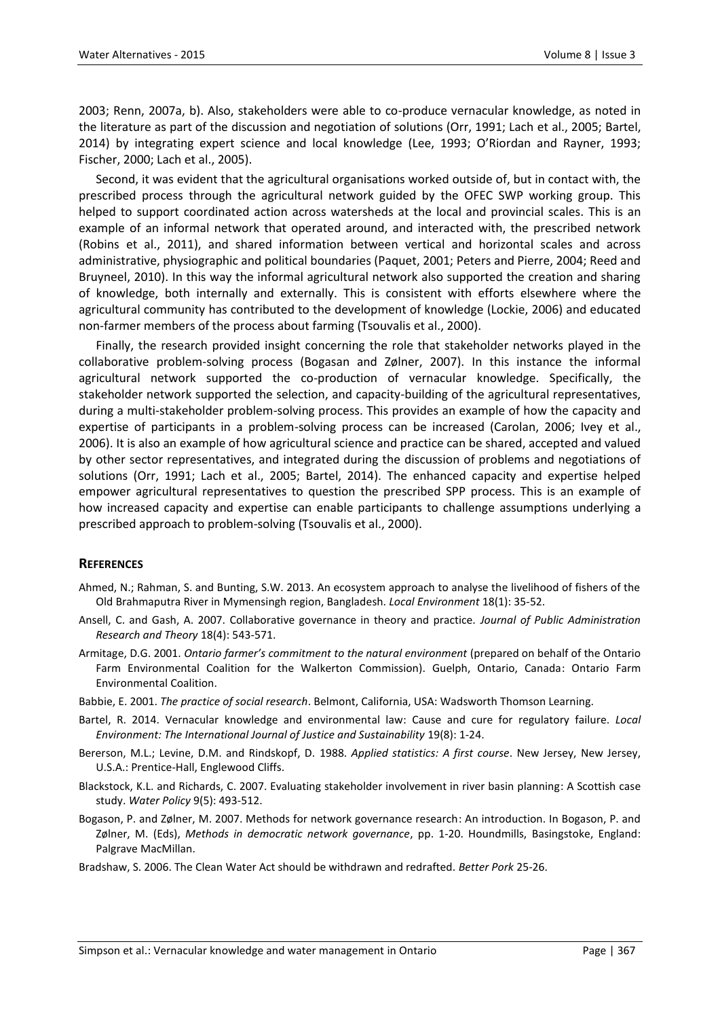2003; Renn, 2007a, b). Also, stakeholders were able to co-produce vernacular knowledge, as noted in the literature as part of the discussion and negotiation of solutions (Orr, 1991; Lach et al., 2005; Bartel, 2014) by integrating expert science and local knowledge (Lee, 1993; O'Riordan and Rayner, 1993; Fischer, 2000; Lach et al., 2005).

Second, it was evident that the agricultural organisations worked outside of, but in contact with, the prescribed process through the agricultural network guided by the OFEC SWP working group. This helped to support coordinated action across watersheds at the local and provincial scales. This is an example of an informal network that operated around, and interacted with, the prescribed network (Robins et al., 2011), and shared information between vertical and horizontal scales and across administrative, physiographic and political boundaries (Paquet, 2001; Peters and Pierre, 2004; Reed and Bruyneel, 2010). In this way the informal agricultural network also supported the creation and sharing of knowledge, both internally and externally. This is consistent with efforts elsewhere where the agricultural community has contributed to the development of knowledge (Lockie, 2006) and educated non-farmer members of the process about farming (Tsouvalis et al., 2000).

Finally, the research provided insight concerning the role that stakeholder networks played in the collaborative problem-solving process (Bogasan and Zølner, 2007). In this instance the informal agricultural network supported the co-production of vernacular knowledge. Specifically, the stakeholder network supported the selection, and capacity-building of the agricultural representatives, during a multi-stakeholder problem-solving process. This provides an example of how the capacity and expertise of participants in a problem-solving process can be increased (Carolan, 2006; Ivey et al., 2006). It is also an example of how agricultural science and practice can be shared, accepted and valued by other sector representatives, and integrated during the discussion of problems and negotiations of solutions (Orr, 1991; Lach et al., 2005; Bartel, 2014). The enhanced capacity and expertise helped empower agricultural representatives to question the prescribed SPP process. This is an example of how increased capacity and expertise can enable participants to challenge assumptions underlying a prescribed approach to problem-solving (Tsouvalis et al., 2000).

# **REFERENCES**

- Ahmed, N.; Rahman, S. and Bunting, S.W. 2013. An ecosystem approach to analyse the livelihood of fishers of the Old Brahmaputra River in Mymensingh region, Bangladesh. *Local Environment* 18(1): 35-52.
- Ansell, C. and Gash, A. 2007. Collaborative governance in theory and practice. *Journal of Public Administration Research and Theory* 18(4): 543-571.
- Armitage, D.G. 2001. *Ontario farmer's commitment to the natural environment* (prepared on behalf of the Ontario Farm Environmental Coalition for the Walkerton Commission). Guelph, Ontario, Canada: Ontario Farm Environmental Coalition.
- Babbie, E. 2001. *The practice of social research*. Belmont, California, USA: Wadsworth Thomson Learning.
- Bartel, R. 2014. Vernacular knowledge and environmental law: Cause and cure for regulatory failure. *Local Environment: The International Journal of Justice and Sustainability* 19(8): 1-24.
- Bererson, M.L.; Levine, D.M. and Rindskopf, D. 1988. *Applied statistics: A first course*. New Jersey, New Jersey, U.S.A.: Prentice-Hall, Englewood Cliffs.
- Blackstock, K.L. and Richards, C. 2007. Evaluating stakeholder involvement in river basin planning: A Scottish case study. *Water Policy* 9(5): 493-512.
- Bogason, P. and Zølner, M. 2007. Methods for network governance research: An introduction. In Bogason, P. and Zølner, M. (Eds), *Methods in democratic network governance*, pp. 1-20. Houndmills, Basingstoke, England: Palgrave MacMillan.
- Bradshaw, S. 2006. The Clean Water Act should be withdrawn and redrafted. *Better Pork* 25-26.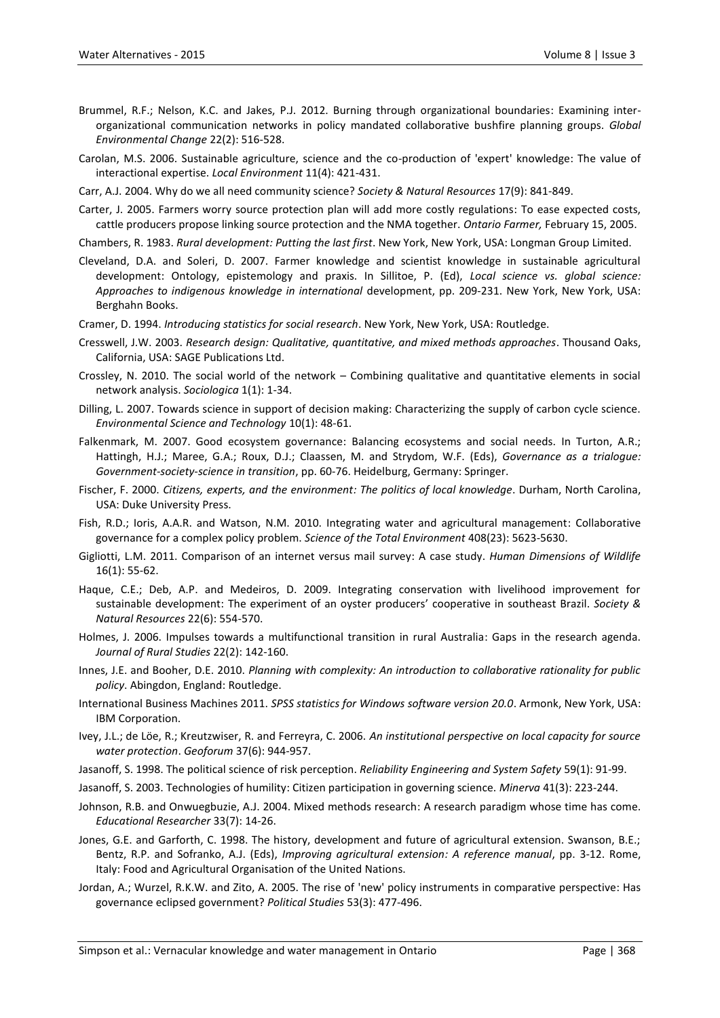- Brummel, R.F.; Nelson, K.C. and Jakes, P.J. 2012. Burning through organizational boundaries: Examining interorganizational communication networks in policy mandated collaborative bushfire planning groups. *Global Environmental Change* 22(2): 516-528.
- Carolan, M.S. 2006. Sustainable agriculture, science and the co-production of 'expert' knowledge: The value of interactional expertise. *Local Environment* 11(4): 421-431.
- Carr, A.J. 2004. Why do we all need community science? *Society & Natural Resources* 17(9): 841-849.
- Carter, J. 2005. Farmers worry source protection plan will add more costly regulations: To ease expected costs, cattle producers propose linking source protection and the NMA together. *Ontario Farmer,* February 15, 2005.
- Chambers, R. 1983. *Rural development: Putting the last first*. New York, New York, USA: Longman Group Limited.
- Cleveland, D.A. and Soleri, D. 2007. Farmer knowledge and scientist knowledge in sustainable agricultural development: Ontology, epistemology and praxis. In Sillitoe, P. (Ed), *Local science vs. global science: Approaches to indigenous knowledge in international* development, pp. 209-231. New York, New York, USA: Berghahn Books.
- Cramer, D. 1994. *Introducing statistics for social research*. New York, New York, USA: Routledge.
- Cresswell, J.W. 2003. *Research design: Qualitative, quantitative, and mixed methods approaches*. Thousand Oaks, California, USA: SAGE Publications Ltd.
- Crossley, N. 2010. The social world of the network Combining qualitative and quantitative elements in social network analysis. *Sociologica* 1(1): 1-34.
- Dilling, L. 2007. Towards science in support of decision making: Characterizing the supply of carbon cycle science. *Environmental Science and Technology* 10(1): 48-61.
- Falkenmark, M. 2007. Good ecosystem governance: Balancing ecosystems and social needs. In Turton, A.R.; Hattingh, H.J.; Maree, G.A.; Roux, D.J.; Claassen, M. and Strydom, W.F. (Eds), *Governance as a trialogue: Government-society-science in transition*, pp. 60-76. Heidelburg, Germany: Springer.
- Fischer, F. 2000. *Citizens, experts, and the environment: The politics of local knowledge*. Durham, North Carolina, USA: Duke University Press.
- Fish, R.D.; Ioris, A.A.R. and Watson, N.M. 2010. Integrating water and agricultural management: Collaborative governance for a complex policy problem. *Science of the Total Environment* 408(23): 5623-5630.
- Gigliotti, L.M. 2011. Comparison of an internet versus mail survey: A case study. *Human Dimensions of Wildlife* 16(1): 55-62.
- Haque, C.E.; Deb, A.P. and Medeiros, D. 2009. Integrating conservation with livelihood improvement for sustainable development: The experiment of an oyster producers' cooperative in southeast Brazil. *Society & Natural Resources* 22(6): 554-570.
- Holmes, J. 2006. Impulses towards a multifunctional transition in rural Australia: Gaps in the research agenda. *Journal of Rural Studies* 22(2): 142-160.
- Innes, J.E. and Booher, D.E. 2010. *Planning with complexity: An introduction to collaborative rationality for public policy*. Abingdon, England: Routledge.
- International Business Machines 2011. *SPSS statistics for Windows software version 20.0*. Armonk, New York, USA: IBM Corporation.
- Ivey, J.L.; de Löe, R.; Kreutzwiser, R. and Ferreyra, C. 2006. *An institutional perspective on local capacity for source water protection*. *Geoforum* 37(6): 944-957.
- Jasanoff, S. 1998. The political science of risk perception. *Reliability Engineering and System Safety* 59(1): 91-99.

Jasanoff, S. 2003. Technologies of humility: Citizen participation in governing science. *Minerva* 41(3): 223-244.

- Johnson, R.B. and Onwuegbuzie, A.J. 2004. Mixed methods research: A research paradigm whose time has come. *Educational Researcher* 33(7): 14-26.
- Jones, G.E. and Garforth, C. 1998. The history, development and future of agricultural extension. Swanson, B.E.; Bentz, R.P. and Sofranko, A.J. (Eds), *Improving agricultural extension: A reference manual*, pp. 3-12. Rome, Italy: Food and Agricultural Organisation of the United Nations.
- Jordan, A.; Wurzel, R.K.W. and Zito, A. 2005. The rise of 'new' policy instruments in comparative perspective: Has governance eclipsed government? *Political Studies* 53(3): 477-496.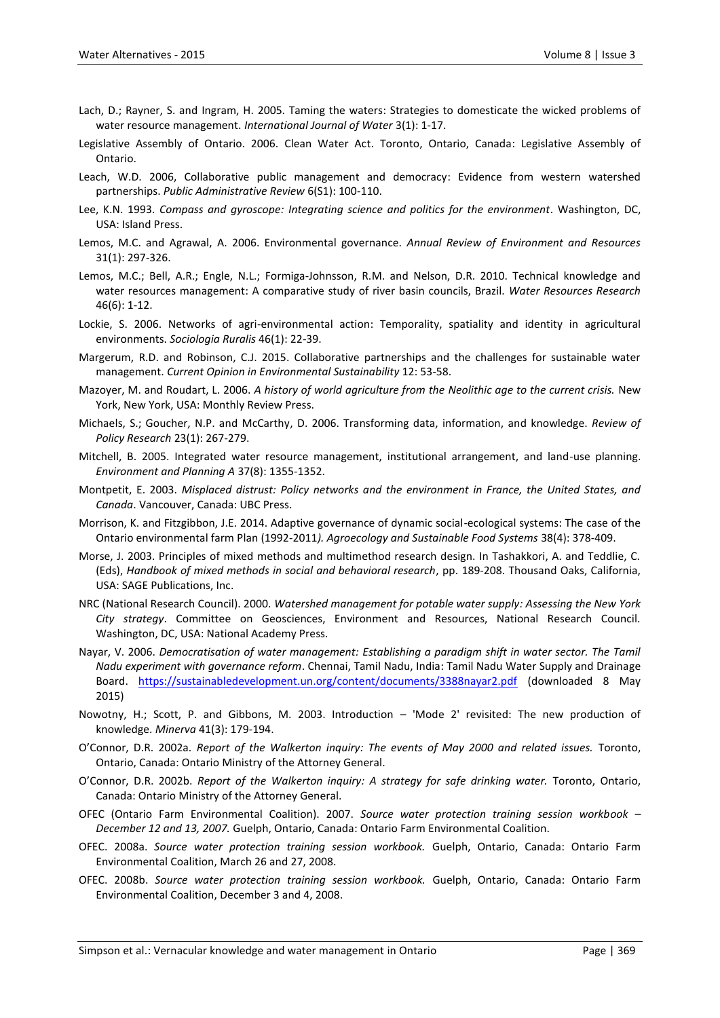- Lach, D.; Rayner, S. and Ingram, H. 2005. Taming the waters: Strategies to domesticate the wicked problems of water resource management. *International Journal of Water* 3(1): 1-17.
- Legislative Assembly of Ontario. 2006. Clean Water Act. Toronto, Ontario, Canada: Legislative Assembly of Ontario.
- Leach, W.D. 2006, Collaborative public management and democracy: Evidence from western watershed partnerships. *Public Administrative Review* 6(S1): 100-110.
- Lee, K.N. 1993. *Compass and gyroscope: Integrating science and politics for the environment*. Washington, DC, USA: Island Press.
- Lemos, M.C. and Agrawal, A. 2006. Environmental governance. *Annual Review of Environment and Resources* 31(1): 297-326.
- Lemos, M.C.; Bell, A.R.; Engle, N.L.; Formiga-Johnsson, R.M. and Nelson, D.R. 2010. Technical knowledge and water resources management: A comparative study of river basin councils, Brazil. *Water Resources Research* 46(6): 1-12.
- Lockie, S. 2006. Networks of agri-environmental action: Temporality, spatiality and identity in agricultural environments. *Sociologia Ruralis* 46(1): 22-39.
- Margerum, R.D. and Robinson, C.J. 2015. Collaborative partnerships and the challenges for sustainable water management. *Current Opinion in Environmental Sustainability* 12: 53-58.
- Mazoyer, M. and Roudart, L. 2006. *A history of world agriculture from the Neolithic age to the current crisis.* New York, New York, USA: Monthly Review Press.
- Michaels, S.; Goucher, N.P. and McCarthy, D. 2006. Transforming data, information, and knowledge. *Review of Policy Research* 23(1): 267-279.
- Mitchell, B. 2005. Integrated water resource management, institutional arrangement, and land-use planning. *Environment and Planning A* 37(8): 1355-1352.
- Montpetit, E. 2003. *Misplaced distrust: Policy networks and the environment in France, the United States, and Canada*. Vancouver, Canada: UBC Press.
- Morrison, K. and Fitzgibbon, J.E. 2014. Adaptive governance of dynamic social-ecological systems: The case of the Ontario environmental farm Plan (1992-2011*). Agroecology and Sustainable Food Systems* 38(4): 378-409.
- Morse, J. 2003. Principles of mixed methods and multimethod research design. In Tashakkori, A. and Teddlie, C. (Eds), *Handbook of mixed methods in social and behavioral research*, pp. 189-208. Thousand Oaks, California, USA: SAGE Publications, Inc.
- NRC (National Research Council). 2000. *Watershed management for potable water supply: Assessing the New York City strategy*. Committee on Geosciences, Environment and Resources, National Research Council. Washington, DC, USA: National Academy Press.
- Nayar, V. 2006. *Democratisation of water management: Establishing a paradigm shift in water sector. The Tamil Nadu experiment with governance reform*. Chennai, Tamil Nadu, India: Tamil Nadu Water Supply and Drainage Board. <https://sustainabledevelopment.un.org/content/documents/3388nayar2.pdf> (downloaded 8 May 2015)
- Nowotny, H.; Scott, P. and Gibbons, M. 2003. Introduction 'Mode 2' revisited: The new production of knowledge. *Minerva* 41(3): 179-194.
- O'Connor, D.R. 2002a. *Report of the Walkerton inquiry: The events of May 2000 and related issues.* Toronto, Ontario, Canada: Ontario Ministry of the Attorney General.
- O'Connor, D.R. 2002b. *Report of the Walkerton inquiry: A strategy for safe drinking water.* Toronto, Ontario, Canada: Ontario Ministry of the Attorney General.
- OFEC (Ontario Farm Environmental Coalition). 2007. *Source water protection training session workbook – December 12 and 13, 2007.* Guelph, Ontario, Canada: Ontario Farm Environmental Coalition.
- OFEC. 2008a. *Source water protection training session workbook.* Guelph, Ontario, Canada: Ontario Farm Environmental Coalition, March 26 and 27, 2008.
- OFEC. 2008b. *Source water protection training session workbook.* Guelph, Ontario, Canada: Ontario Farm Environmental Coalition, December 3 and 4, 2008.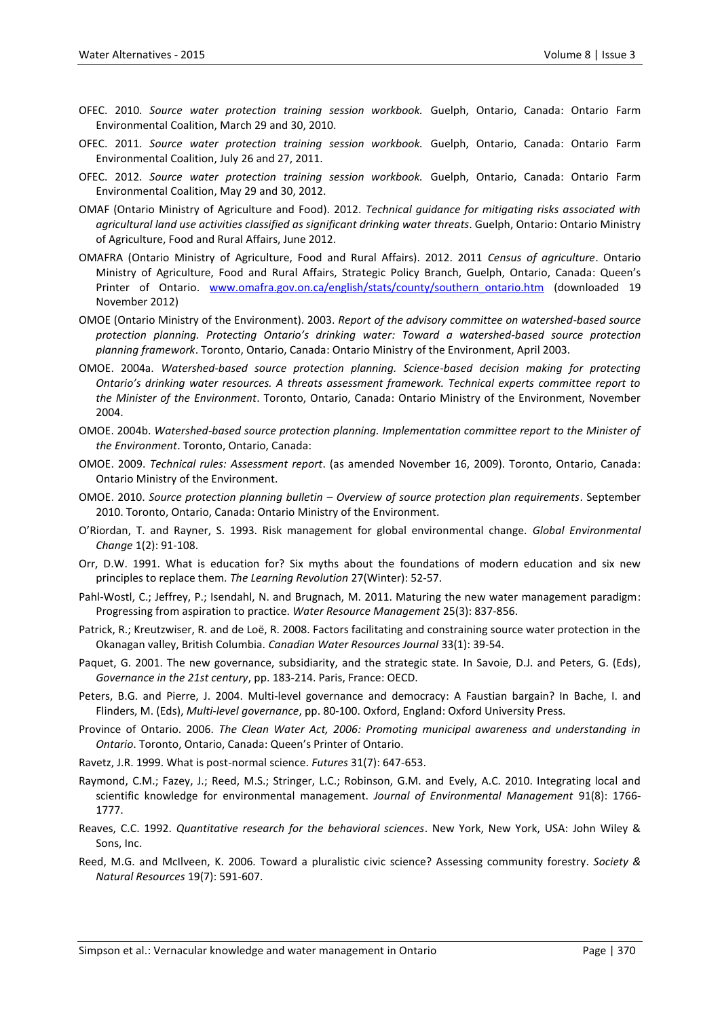- OFEC. 2010. *Source water protection training session workbook.* Guelph, Ontario, Canada: Ontario Farm Environmental Coalition, March 29 and 30, 2010.
- OFEC. 2011. *Source water protection training session workbook.* Guelph, Ontario, Canada: Ontario Farm Environmental Coalition, July 26 and 27, 2011.
- OFEC. 2012. *Source water protection training session workbook.* Guelph, Ontario, Canada: Ontario Farm Environmental Coalition, May 29 and 30, 2012.
- OMAF (Ontario Ministry of Agriculture and Food). 2012. *Technical guidance for mitigating risks associated with agricultural land use activities classified as significant drinking water threats*. Guelph, Ontario: Ontario Ministry of Agriculture, Food and Rural Affairs, June 2012.
- OMAFRA (Ontario Ministry of Agriculture, Food and Rural Affairs). 2012. 2011 *Census of agriculture*. Ontario Ministry of Agriculture, Food and Rural Affairs, Strategic Policy Branch, Guelph, Ontario, Canada: Queen's Printer of Ontario. [www.omafra.gov.on.ca/english/stats/county/southern\\_ontario.htm](http://www.omafra.gov.on.ca/english/stats/county/southern_ontario.htm) (downloaded 19 November 2012)
- OMOE (Ontario Ministry of the Environment). 2003. *Report of the advisory committee on watershed-based source protection planning. Protecting Ontario's drinking water: Toward a watershed-based source protection planning framework*. Toronto, Ontario, Canada: Ontario Ministry of the Environment, April 2003.
- OMOE. 2004a. *Watershed-based source protection planning. Science-based decision making for protecting Ontario's drinking water resources. A threats assessment framework. Technical experts committee report to the Minister of the Environment*. Toronto, Ontario, Canada: Ontario Ministry of the Environment, November 2004.
- OMOE. 2004b. *Watershed-based source protection planning. Implementation committee report to the Minister of the Environment*. Toronto, Ontario, Canada:
- OMOE. 2009. *Technical rules: Assessment report*. (as amended November 16, 2009). Toronto, Ontario, Canada: Ontario Ministry of the Environment.
- OMOE. 2010. *Source protection planning bulletin – Overview of source protection plan requirements*. September 2010. Toronto, Ontario, Canada: Ontario Ministry of the Environment.
- O'Riordan, T. and Rayner, S. 1993. Risk management for global environmental change. *Global Environmental Change* 1(2): 91-108.
- Orr, D.W. 1991. What is education for? Six myths about the foundations of modern education and six new principles to replace them. *The Learning Revolution* 27(Winter): 52-57.
- Pahl-Wostl, C.; Jeffrey, P.; Isendahl, N. and Brugnach, M. 2011. Maturing the new water management paradigm: Progressing from aspiration to practice. *Water Resource Management* 25(3): 837-856.
- Patrick, R.; Kreutzwiser, R. and de Loë, R. 2008. Factors facilitating and constraining source water protection in the Okanagan valley, British Columbia. *Canadian Water Resources Journal* 33(1): 39-54.
- Paquet, G. 2001. The new governance, subsidiarity, and the strategic state. In Savoie, D.J. and Peters, G. (Eds), *Governance in the 21st century*, pp. 183-214. Paris, France: OECD.
- Peters, B.G. and Pierre, J. 2004. Multi-level governance and democracy: A Faustian bargain? In Bache, I. and Flinders, M. (Eds), *Multi-level governance*, pp. 80-100. Oxford, England: Oxford University Press.
- Province of Ontario. 2006. *The Clean Water Act, 2006: Promoting municipal awareness and understanding in Ontario*. Toronto, Ontario, Canada: Queen's Printer of Ontario.
- Ravetz, J.R. 1999. What is post-normal science. *Futures* 31(7): 647-653.
- Raymond, C.M.; Fazey, J.; Reed, M.S.; Stringer, L.C.; Robinson, G.M. and Evely, A.C. 2010. Integrating local and scientific knowledge for environmental management. *Journal of Environmental Management* 91(8): 1766- 1777.
- Reaves, C.C. 1992. *Quantitative research for the behavioral sciences*. New York, New York, USA: John Wiley & Sons, Inc.
- Reed, M.G. and McIlveen, K. 2006. Toward a pluralistic civic science? Assessing community forestry. *Society & Natural Resources* 19(7): 591-607.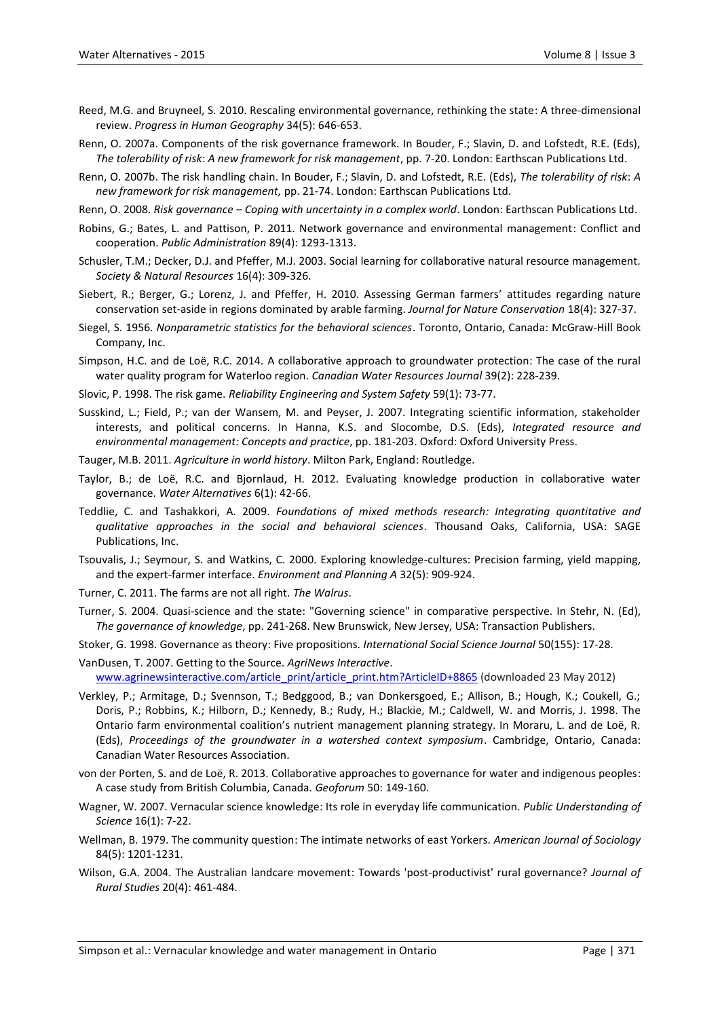- Reed, M.G. and Bruyneel, S. 2010. Rescaling environmental governance, rethinking the state: A three-dimensional review. *Progress in Human Geography* 34(5): 646-653.
- Renn, O. 2007a. Components of the risk governance framework. In Bouder, F.; Slavin, D. and Lofstedt, R.E. (Eds), *The tolerability of risk*: *A new framework for risk management*, pp. 7-20. London: Earthscan Publications Ltd.
- Renn, O. 2007b. The risk handling chain. In Bouder, F.; Slavin, D. and Lofstedt, R.E. (Eds), *The tolerability of risk*: *A new framework for risk management,* pp. 21-74. London: Earthscan Publications Ltd.
- Renn, O. 2008. *Risk governance – Coping with uncertainty in a complex world*. London: Earthscan Publications Ltd.
- Robins, G.; Bates, L. and Pattison, P. 2011. Network governance and environmental management: Conflict and cooperation. *Public Administration* 89(4): 1293-1313.
- Schusler, T.M.; Decker, D.J. and Pfeffer, M.J. 2003. Social learning for collaborative natural resource management. *Society & Natural Resources* 16(4): 309-326.
- Siebert, R.; Berger, G.; Lorenz, J. and Pfeffer, H. 2010. Assessing German farmers' attitudes regarding nature conservation set-aside in regions dominated by arable farming. *Journal for Nature Conservation* 18(4): 327-37.
- Siegel, S. 1956. *Nonparametric statistics for the behavioral sciences*. Toronto, Ontario, Canada: McGraw-Hill Book Company, Inc.
- Simpson, H.C. and de Loë, R.C. 2014. A collaborative approach to groundwater protection: The case of the rural water quality program for Waterloo region. *Canadian Water Resources Journal* 39(2): 228-239.
- Slovic, P. 1998. The risk game. *Reliability Engineering and System Safety* 59(1): 73-77.
- Susskind, L.; Field, P.; van der Wansem, M. and Peyser, J. 2007. Integrating scientific information, stakeholder interests, and political concerns. In Hanna, K.S. and Slocombe, D.S. (Eds), *Integrated resource and environmental management: Concepts and practice*, pp. 181-203. Oxford: Oxford University Press.
- Tauger, M.B. 2011. *Agriculture in world history*. Milton Park, England: Routledge.
- Taylor, B.; de Loë, R.C. and Bjornlaud, H. 2012. Evaluating knowledge production in collaborative water governance. *Water Alternatives* 6(1): 42-66.
- Teddlie, C. and Tashakkori, A. 2009. *Foundations of mixed methods research: Integrating quantitative and qualitative approaches in the social and behavioral sciences*. Thousand Oaks, California, USA: SAGE Publications, Inc.
- Tsouvalis, J.; Seymour, S. and Watkins, C. 2000. Exploring knowledge-cultures: Precision farming, yield mapping, and the expert-farmer interface. *Environment and Planning A* 32(5): 909-924.
- Turner, C. 2011. The farms are not all right. *The Walrus*.
- Turner, S. 2004. Quasi-science and the state: "Governing science" in comparative perspective. In Stehr, N. (Ed), *The governance of knowledge*, pp. 241-268. New Brunswick, New Jersey, USA: Transaction Publishers.
- Stoker, G. 1998. Governance as theory: Five propositions. *International Social Science Journal* 50(155): 17-28.
- VanDusen, T. 2007. Getting to the Source. *AgriNews Interactive*. [www.agrinewsinteractive.com/article\\_print/article\\_print.htm?ArticleID+8865](http://www.agrinewsinteractive.com/article_print/article_print.htm?ArticleID+8865) (downloaded 23 May 2012)
- Verkley, P.; Armitage, D.; Svennson, T.; Bedggood, B.; van Donkersgoed, E.; Allison, B.; Hough, K.; Coukell, G.; Doris, P.; Robbins, K.; Hilborn, D.; Kennedy, B.; Rudy, H.; Blackie, M.; Caldwell, W. and Morris, J. 1998. The Ontario farm environmental coalition's nutrient management planning strategy. In Moraru, L. and de Loë, R. (Eds), *Proceedings of the groundwater in a watershed context symposium*. Cambridge, Ontario, Canada: Canadian Water Resources Association.
- von der Porten, S. and de Loë, R. 2013. Collaborative approaches to governance for water and indigenous peoples: A case study from British Columbia, Canada. *Geoforum* 50: 149-160.
- Wagner, W. 2007. Vernacular science knowledge: Its role in everyday life communication. *Public Understanding of Science* 16(1): 7-22.
- Wellman, B. 1979. The community question: The intimate networks of east Yorkers. *American Journal of Sociology* 84(5): 1201-1231.
- Wilson, G.A. 2004. The Australian landcare movement: Towards 'post-productivist' rural governance? *Journal of Rural Studies* 20(4): 461-484.